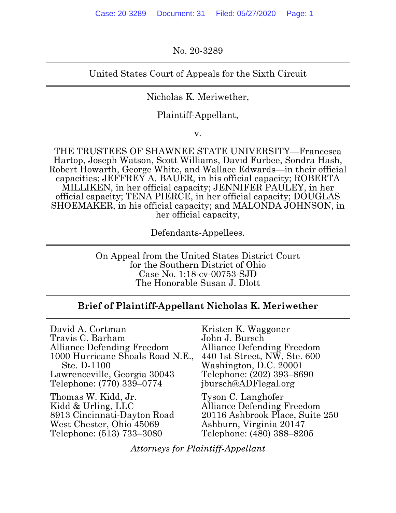No. 20-3289

# United States Court of Appeals for the Sixth Circuit

Nicholas K. Meriwether,

Plaintiff-Appellant,

v.

THE TRUSTEES OF SHAWNEE STATE UNIVERSITY—Francesca Hartop, Joseph Watson, Scott Williams, David Furbee, Sondra Hash, Robert Howarth, George White, and Wallace Edwards—in their official capacities; JEFFREY A. BAUER, in his official capacity; ROBERTA MILLIKEN, in her official capacity; JENNIFER PAULEY, in her official capacity; TENA PIERCE, in her official capacity; DOUGLAS SHOEMAKER, in his official capacity; and MALONDA JOHNSON, in her official capacity,

Defendants-Appellees.

On Appeal from the United States District Court for the Southern District of Ohio Case No. 1:18-cv-00753-SJD The Honorable Susan J. Dlott

# **Brief of Plaintiff-Appellant Nicholas K. Meriwether**

David A. Cortman Travis C. Barham Alliance Defending Freedom 1000 Hurricane Shoals Road N.E., Ste. D-1100 Lawrenceville, Georgia 30043 Telephone: (770) 339–0774

Thomas W. Kidd, Jr. Kidd & Urling, LLC 8913 Cincinnati-Dayton Road West Chester, Ohio 45069 Telephone: (513) 733–3080

Kristen K. Waggoner John J. Bursch Alliance Defending Freedom 440 1st Street, NW, Ste. 600 Washington, D.C. 20001 Telephone: (202) 393–8690 jbursch@ADFlegal.org

Tyson C. Langhofer Alliance Defending Freedom 20116 Ashbrook Place, Suite 250 Ashburn, Virginia 20147 Telephone: (480) 388–8205

*Attorneys for Plaintiff-Appellant*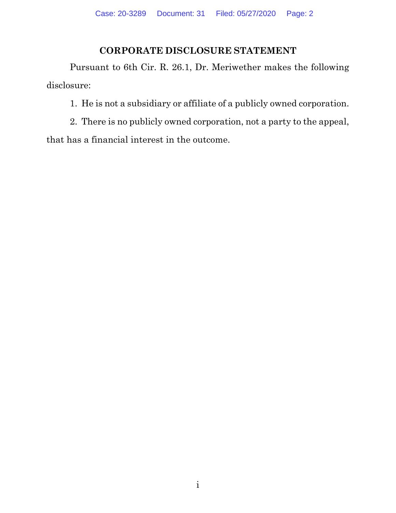# **CORPORATE DISCLOSURE STATEMENT**

Pursuant to 6th Cir. R. 26.1, Dr. Meriwether makes the following disclosure:

1. He is not a subsidiary or affiliate of a publicly owned corporation.

2. There is no publicly owned corporation, not a party to the appeal, that has a financial interest in the outcome.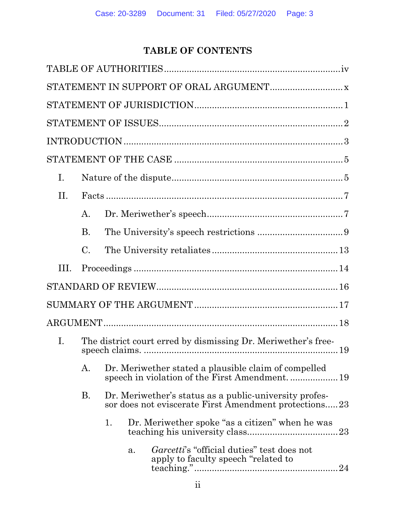# **TABLE OF CONTENTS**

| $\mathbf{I}$ . |           |    |    |                                                                                                                 |  |  |    |
|----------------|-----------|----|----|-----------------------------------------------------------------------------------------------------------------|--|--|----|
| II.            |           |    |    |                                                                                                                 |  |  |    |
|                | A.        |    |    |                                                                                                                 |  |  |    |
|                | <b>B.</b> |    |    |                                                                                                                 |  |  |    |
|                | C.        |    |    |                                                                                                                 |  |  |    |
| III.           |           |    |    |                                                                                                                 |  |  |    |
|                |           |    |    |                                                                                                                 |  |  |    |
|                |           |    |    |                                                                                                                 |  |  |    |
|                |           |    |    |                                                                                                                 |  |  |    |
| Ι.             |           |    |    | The district court erred by dismissing Dr. Meriwether's free-                                                   |  |  |    |
|                | А.        |    |    | Dr. Meriwether stated a plausible claim of compelled                                                            |  |  | 19 |
|                | <b>B.</b> |    |    | Dr. Meriwether's status as a public-university profes-<br>sor does not eviscerate First Amendment protections23 |  |  |    |
|                |           | 1. |    | Dr. Meriwether spoke "as a citizen" when he was                                                                 |  |  | 23 |
|                |           |    | a. | <i>Garcetti's</i> "official duties" test does not<br>apply to faculty speech "related to                        |  |  |    |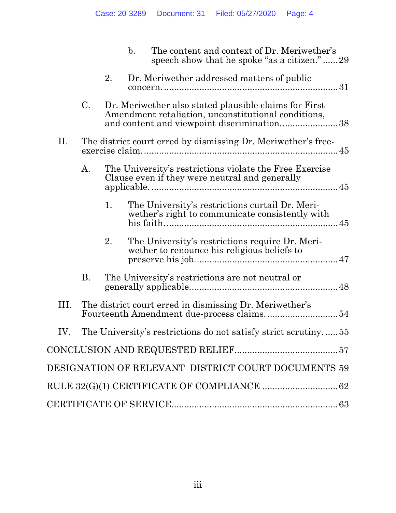|      |                 |    | $\mathbf{b}$ . | The content and context of Dr. Meriwether's<br>speech show that he spoke "as a citizen."29                                                                 |
|------|-----------------|----|----------------|------------------------------------------------------------------------------------------------------------------------------------------------------------|
|      |                 | 2. |                | Dr. Meriwether addressed matters of public                                                                                                                 |
|      | $\mathcal{C}$ . |    |                | Dr. Meriwether also stated plausible claims for First<br>Amendment retaliation, unconstitutional conditions,<br>and content and viewpoint discrimination38 |
| П.   |                 |    |                | The district court erred by dismissing Dr. Meriwether's free-                                                                                              |
|      | A.              |    |                | The University's restrictions violate the Free Exercise<br>Clause even if they were neutral and generally                                                  |
|      |                 | 1. |                | The University's restrictions curtail Dr. Meri-<br>wether's right to communicate consistently with                                                         |
|      |                 | 2. |                | The University's restrictions require Dr. Meri-<br>wether to renounce his religious beliefs to                                                             |
|      | <b>B.</b>       |    |                | The University's restrictions are not neutral or                                                                                                           |
| III. |                 |    |                | The district court erred in dismissing Dr. Meriwether's                                                                                                    |
| IV.  |                 |    |                | The University's restrictions do not satisfy strict scrutiny.<br>$\dots 55$                                                                                |
|      |                 |    |                |                                                                                                                                                            |
|      |                 |    |                | DESIGNATION OF RELEVANT DISTRICT COURT DOCUMENTS 59                                                                                                        |
|      |                 |    |                |                                                                                                                                                            |
|      |                 |    |                |                                                                                                                                                            |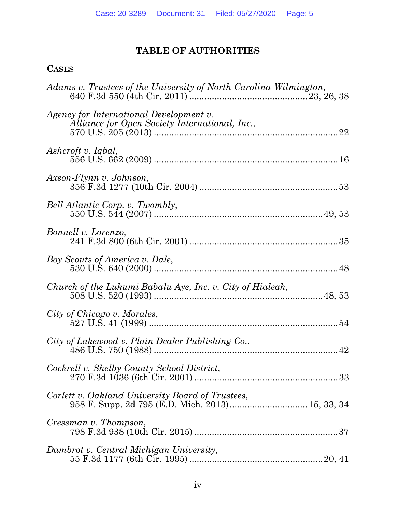# **TABLE OF AUTHORITIES**

# **CASES**

| Adams v. Trustees of the University of North Carolina-Wilmington,                                    |
|------------------------------------------------------------------------------------------------------|
| Agency for International Development v.<br>Alliance for Open Society International, Inc.,            |
| Ashcroft v. Iqbal,                                                                                   |
| Axson-Flynn v. Johnson,                                                                              |
| Bell Atlantic Corp. v. Twombly,                                                                      |
| <i>Bonnell v. Lorenzo,</i>                                                                           |
| Boy Scouts of America v. Dale,                                                                       |
| Church of the Lukumi Babalu Aye, Inc. v. City of Hialeah,                                            |
| City of Chicago v. Morales,                                                                          |
| City of Lakewood v. Plain Dealer Publishing Co.,                                                     |
| Cockrell v. Shelby County School District,                                                           |
| Corlett v. Oakland University Board of Trustees,<br>958 F. Supp. 2d 795 (E.D. Mich. 2013) 15, 33, 34 |
| Cressman v. Thompson,                                                                                |
| Dambrot v. Central Michigan University,                                                              |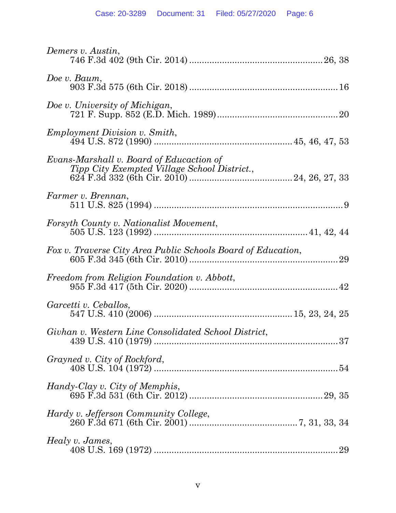| Demers v. Austin,                                                                        |
|------------------------------------------------------------------------------------------|
| Doe v. Baum,                                                                             |
| Doe v. University of Michigan,                                                           |
| <i>Employment Division v. Smith,</i>                                                     |
| Evans-Marshall v. Board of Educaction of<br>Tipp City Exempted Village School District., |
| Farmer v. Brennan,                                                                       |
| Forsyth County v. Nationalist Movement,                                                  |
| Fox v. Traverse City Area Public Schools Board of Education,                             |
| Freedom from Religion Foundation v. Abbott,                                              |
| Garcetti v. Ceballos,                                                                    |
| Givhan v. Western Line Consolidated School District,                                     |
| Grayned v. City of Rockford,                                                             |
| Handy-Clay v. City of Memphis,                                                           |
| Hardy v. Jefferson Community College,                                                    |
| Healy v. James,<br>29                                                                    |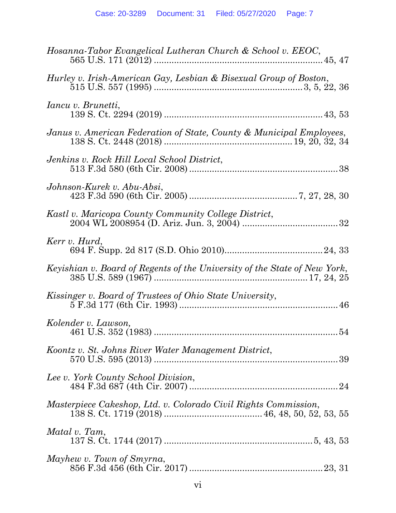| Hosanna-Tabor Evangelical Lutheran Church & School v. EEOC,               |
|---------------------------------------------------------------------------|
| Hurley v. Irish-American Gay, Lesbian & Bisexual Group of Boston,         |
| <i>Iancu v. Brunetti,</i>                                                 |
| Janus v. American Federation of State, County & Municipal Employees,      |
| Jenkins v. Rock Hill Local School District,                               |
| Johnson-Kurek v. Abu-Absi,                                                |
| Kastl v. Maricopa County Community College District,                      |
| Kerr v. Hurd,                                                             |
| Keyishian v. Board of Regents of the University of the State of New York, |
| Kissinger v. Board of Trustees of Ohio State University,                  |
| Kolender v. Lawson,                                                       |
| Koontz v. St. Johns River Water Management District,                      |
| Lee v. York County School Division,                                       |
| Masterpiece Cakeshop, Ltd. v. Colorado Civil Rights Commission,           |
| Matal v. Tam,                                                             |
| Mayhew v. Town of Smyrna,                                                 |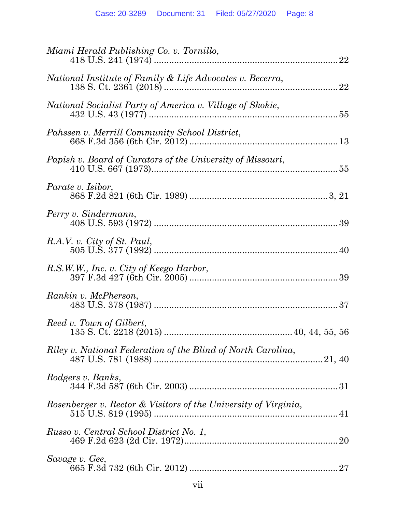| Miami Herald Publishing Co. v. Tornillo,<br>22                  |
|-----------------------------------------------------------------|
| National Institute of Family & Life Advocates v. Becerra,<br>22 |
| National Socialist Party of America v. Village of Skokie,       |
| Pahssen v. Merrill Community School District,                   |
| Papish v. Board of Curators of the University of Missouri,      |
| <i>Parate v. Isibor,</i>                                        |
| Perry v. Sindermann,                                            |
| R.A.V. v. City of St. Paul,                                     |
| R.S.W.W., Inc. v. City of Keego Harbor,                         |
| Rankin v. McPherson,                                            |
| Reed v. Town of Gilbert,                                        |
| Riley v. National Federation of the Blind of North Carolina,    |
| Rodgers v. Banks,                                               |
| Rosenberger v. Rector & Visitors of the University of Virginia, |
| Russo v. Central School District No. 1,                         |
| Savage v. Gee,                                                  |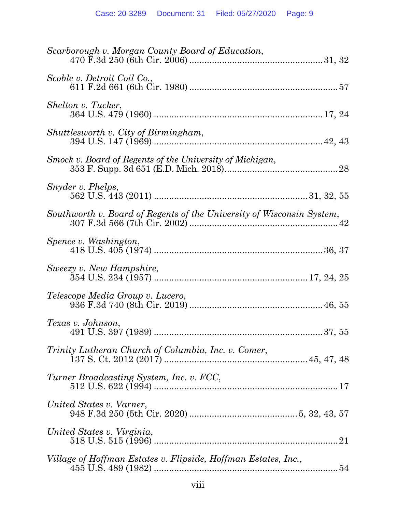| Scarborough v. Morgan County Board of Education,                      |
|-----------------------------------------------------------------------|
| Scoble v. Detroit Coil Co.,                                           |
| Shelton v. Tucker,                                                    |
| Shuttlesworth v. City of Birmingham,                                  |
| Smock v. Board of Regents of the University of Michigan,              |
| Snyder v. Phelps,                                                     |
| Southworth v. Board of Regents of the University of Wisconsin System, |
| Spence v. Washington,                                                 |
| Sweezy v. New Hampshire,                                              |
| Telescope Media Group v. Lucero,                                      |
| Texas v. Johnson,                                                     |
| Trinity Lutheran Church of Columbia, Inc. v. Comer,                   |
| Turner Broadcasting System, Inc. v. FCC,                              |
| United States v. Varner,                                              |
| United States v. Virginia,<br>21                                      |
| Village of Hoffman Estates v. Flipside, Hoffman Estates, Inc.,        |
|                                                                       |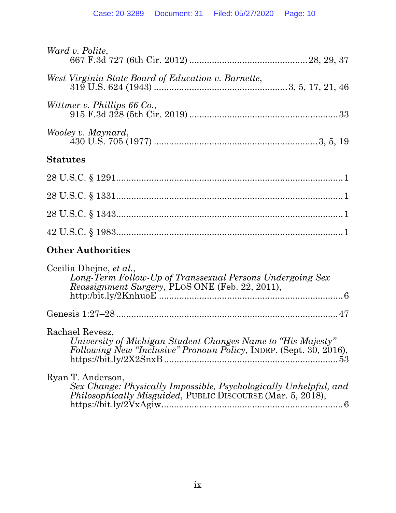| Ward v. Polite,                                                                                                                                               |
|---------------------------------------------------------------------------------------------------------------------------------------------------------------|
| West Virginia State Board of Education v. Barnette,                                                                                                           |
| Wittmer v. Phillips 66 Co.,                                                                                                                                   |
| Wooley v. Maynard,                                                                                                                                            |
| <b>Statutes</b>                                                                                                                                               |
|                                                                                                                                                               |
|                                                                                                                                                               |
|                                                                                                                                                               |
|                                                                                                                                                               |
| <b>Other Authorities</b>                                                                                                                                      |
| Cecilia Dhejne, et al.,<br>Long-Term Follow-Up of Transsexual Persons Undergoing Sex<br>Reassignment Surgery, PLOS ONE (Feb. 22, 2011),                       |
|                                                                                                                                                               |
| Rachael Revesz,<br>University of Michigan Student Changes Name to "His Majesty"<br>Following New "Inclusive" Pronoun Policy, INDEP. (Sept. 30, 2016),         |
| Ryan T. Anderson,<br>Sex Change: Physically Impossible, Psychologically Unhelpful, and<br><i>Philosophically Misguided</i> , PUBLIC DISCOURSE (Mar. 5, 2018), |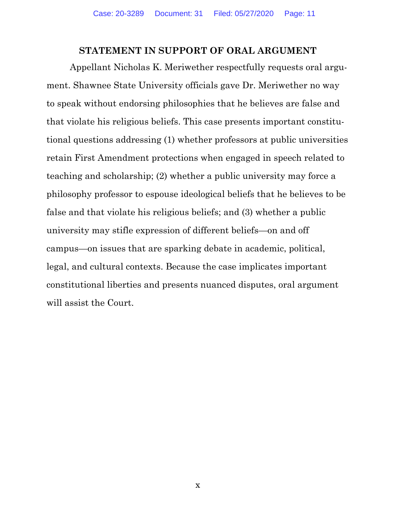# **STATEMENT IN SUPPORT OF ORAL ARGUMENT**

Appellant Nicholas K. Meriwether respectfully requests oral argument. Shawnee State University officials gave Dr. Meriwether no way to speak without endorsing philosophies that he believes are false and that violate his religious beliefs. This case presents important constitutional questions addressing (1) whether professors at public universities retain First Amendment protections when engaged in speech related to teaching and scholarship; (2) whether a public university may force a philosophy professor to espouse ideological beliefs that he believes to be false and that violate his religious beliefs; and (3) whether a public university may stifle expression of different beliefs—on and off campus—on issues that are sparking debate in academic, political, legal, and cultural contexts. Because the case implicates important constitutional liberties and presents nuanced disputes, oral argument will assist the Court.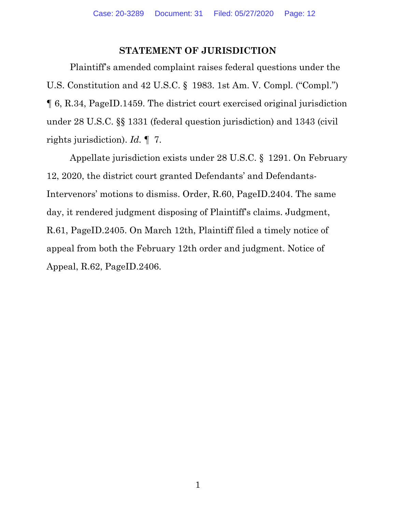# **STATEMENT OF JURISDICTION**

Plaintiff's amended complaint raises federal questions under the U.S. Constitution and 42 U.S.C. § 1983. 1st Am. V. Compl. ("Compl.") ¶ 6, R.34, PageID.1459. The district court exercised original jurisdiction under 28 U.S.C. §§ 1331 (federal question jurisdiction) and 1343 (civil rights jurisdiction). *Id.* ¶ 7.

Appellate jurisdiction exists under 28 U.S.C. § 1291. On February 12, 2020, the district court granted Defendants' and Defendants-Intervenors' motions to dismiss. Order, R.60, PageID.2404. The same day, it rendered judgment disposing of Plaintiff's claims. Judgment, R.61, PageID.2405. On March 12th, Plaintiff filed a timely notice of appeal from both the February 12th order and judgment. Notice of Appeal, R.62, PageID.2406.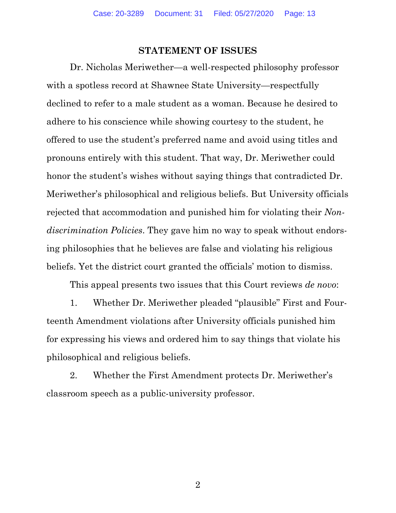#### **STATEMENT OF ISSUES**

Dr. Nicholas Meriwether—a well-respected philosophy professor with a spotless record at Shawnee State University—respectfully declined to refer to a male student as a woman. Because he desired to adhere to his conscience while showing courtesy to the student, he offered to use the student's preferred name and avoid using titles and pronouns entirely with this student. That way, Dr. Meriwether could honor the student's wishes without saying things that contradicted Dr. Meriwether's philosophical and religious beliefs. But University officials rejected that accommodation and punished him for violating their *Nondiscrimination Policies*. They gave him no way to speak without endorsing philosophies that he believes are false and violating his religious beliefs. Yet the district court granted the officials' motion to dismiss.

This appeal presents two issues that this Court reviews *de novo*:

1. Whether Dr. Meriwether pleaded "plausible" First and Fourteenth Amendment violations after University officials punished him for expressing his views and ordered him to say things that violate his philosophical and religious beliefs.

2. Whether the First Amendment protects Dr. Meriwether's classroom speech as a public-university professor.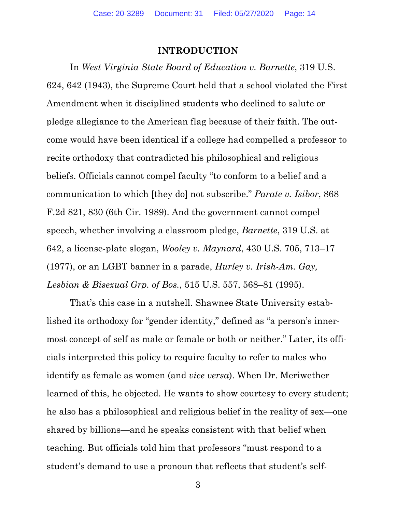### **INTRODUCTION**

In *West Virginia State Board of Education v. Barnette*, 319 U.S. 624, 642 (1943), the Supreme Court held that a school violated the First Amendment when it disciplined students who declined to salute or pledge allegiance to the American flag because of their faith. The outcome would have been identical if a college had compelled a professor to recite orthodoxy that contradicted his philosophical and religious beliefs. Officials cannot compel faculty "to conform to a belief and a communication to which [they do] not subscribe." *Parate v. Isibor*, 868 F.2d 821, 830 (6th Cir. 1989). And the government cannot compel speech, whether involving a classroom pledge, *Barnette*, 319 U.S. at 642, a license-plate slogan, *Wooley v. Maynard*, 430 U.S. 705, 713–17 (1977), or an LGBT banner in a parade, *Hurley v. Irish-Am. Gay, Lesbian & Bisexual Grp. of Bos.*, 515 U.S. 557, 568–81 (1995).

That's this case in a nutshell. Shawnee State University established its orthodoxy for "gender identity," defined as "a person's innermost concept of self as male or female or both or neither." Later, its officials interpreted this policy to require faculty to refer to males who identify as female as women (and *vice versa*). When Dr. Meriwether learned of this, he objected. He wants to show courtesy to every student; he also has a philosophical and religious belief in the reality of sex—one shared by billions—and he speaks consistent with that belief when teaching. But officials told him that professors "must respond to a student's demand to use a pronoun that reflects that student's self-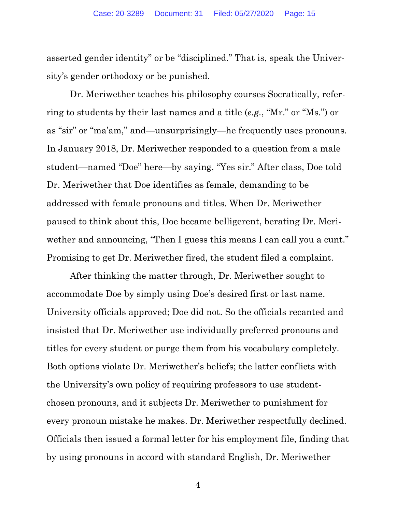asserted gender identity" or be "disciplined." That is, speak the University's gender orthodoxy or be punished.

Dr. Meriwether teaches his philosophy courses Socratically, referring to students by their last names and a title (*e.g.*, "Mr." or "Ms.") or as "sir" or "ma'am," and—unsurprisingly—he frequently uses pronouns. In January 2018, Dr. Meriwether responded to a question from a male student—named "Doe" here—by saying, "Yes sir." After class, Doe told Dr. Meriwether that Doe identifies as female, demanding to be addressed with female pronouns and titles. When Dr. Meriwether paused to think about this, Doe became belligerent, berating Dr. Meriwether and announcing, "Then I guess this means I can call you a cunt." Promising to get Dr. Meriwether fired, the student filed a complaint.

After thinking the matter through, Dr. Meriwether sought to accommodate Doe by simply using Doe's desired first or last name. University officials approved; Doe did not. So the officials recanted and insisted that Dr. Meriwether use individually preferred pronouns and titles for every student or purge them from his vocabulary completely. Both options violate Dr. Meriwether's beliefs; the latter conflicts with the University's own policy of requiring professors to use studentchosen pronouns, and it subjects Dr. Meriwether to punishment for every pronoun mistake he makes. Dr. Meriwether respectfully declined. Officials then issued a formal letter for his employment file, finding that by using pronouns in accord with standard English, Dr. Meriwether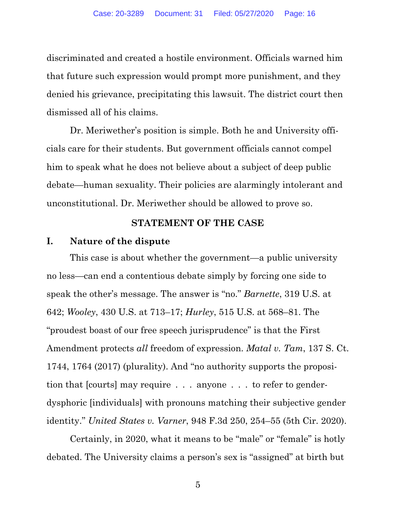discriminated and created a hostile environment. Officials warned him that future such expression would prompt more punishment, and they denied his grievance, precipitating this lawsuit. The district court then dismissed all of his claims.

Dr. Meriwether's position is simple. Both he and University officials care for their students. But government officials cannot compel him to speak what he does not believe about a subject of deep public debate—human sexuality. Their policies are alarmingly intolerant and unconstitutional. Dr. Meriwether should be allowed to prove so.

## **STATEMENT OF THE CASE**

#### **I. Nature of the dispute**

This case is about whether the government—a public university no less—can end a contentious debate simply by forcing one side to speak the other's message. The answer is "no." *Barnette*, 319 U.S. at 642; *Wooley*, 430 U.S. at 713–17; *Hurley*, 515 U.S. at 568–81. The "proudest boast of our free speech jurisprudence" is that the First Amendment protects *all* freedom of expression. *Matal v. Tam*, 137 S. Ct. 1744, 1764 (2017) (plurality). And "no authority supports the proposition that [courts] may require . . . anyone . . . to refer to genderdysphoric [individuals] with pronouns matching their subjective gender identity." *United States v. Varner*, 948 F.3d 250, 254–55 (5th Cir. 2020).

Certainly, in 2020, what it means to be "male" or "female" is hotly debated. The University claims a person's sex is "assigned" at birth but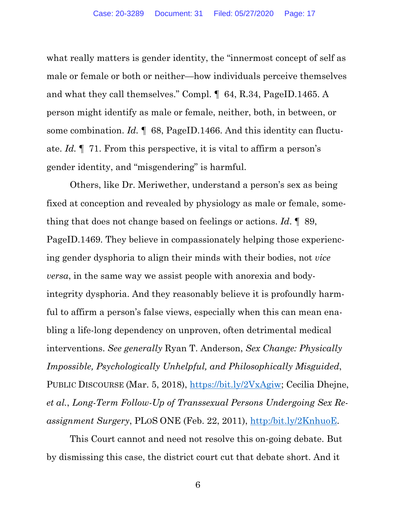what really matters is gender identity, the "innermost concept of self as male or female or both or neither—how individuals perceive themselves and what they call themselves." Compl. ¶ 64, R.34, PageID.1465. A person might identify as male or female, neither, both, in between, or some combination. *Id.* ¶ 68, PageID.1466. And this identity can fluctuate. *Id.* ¶ 71. From this perspective, it is vital to affirm a person's gender identity, and "misgendering" is harmful.

Others, like Dr. Meriwether, understand a person's sex as being fixed at conception and revealed by physiology as male or female, something that does not change based on feelings or actions. *Id*. ¶ 89, PageID.1469. They believe in compassionately helping those experiencing gender dysphoria to align their minds with their bodies, not *vice versa*, in the same way we assist people with anorexia and bodyintegrity dysphoria. And they reasonably believe it is profoundly harmful to affirm a person's false views, especially when this can mean enabling a life-long dependency on unproven, often detrimental medical interventions. *See generally* Ryan T. Anderson, *Sex Change: Physically Impossible, Psychologically Unhelpful, and Philosophically Misguided*, PUBLIC DISCOURSE (Mar. 5, 2018), https://bit.ly/2VxAgiw; Cecilia Dhejne, *et al.*, *Long-Term Follow-Up of Transsexual Persons Undergoing Sex Reassignment Surgery*, PLOS ONE (Feb. 22, 2011), http:/bit.ly/2KnhuoE.

This Court cannot and need not resolve this on-going debate. But by dismissing this case, the district court cut that debate short. And it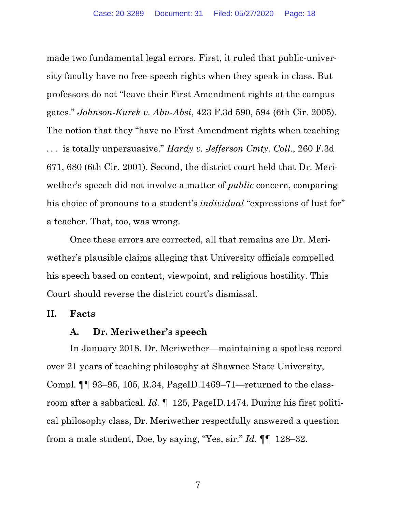made two fundamental legal errors. First, it ruled that public-university faculty have no free-speech rights when they speak in class. But professors do not "leave their First Amendment rights at the campus gates." *Johnson-Kurek v. Abu-Absi*, 423 F.3d 590, 594 (6th Cir. 2005). The notion that they "have no First Amendment rights when teaching . . . is totally unpersuasive." *Hardy v. Jefferson Cmty. Coll.*, 260 F.3d 671, 680 (6th Cir. 2001). Second, the district court held that Dr. Meriwether's speech did not involve a matter of *public* concern, comparing his choice of pronouns to a student's *individual* "expressions of lust for" a teacher. That, too, was wrong.

Once these errors are corrected, all that remains are Dr. Meriwether's plausible claims alleging that University officials compelled his speech based on content, viewpoint, and religious hostility. This Court should reverse the district court's dismissal.

# **II. Facts**

# **A. Dr. Meriwether's speech**

In January 2018, Dr. Meriwether—maintaining a spotless record over 21 years of teaching philosophy at Shawnee State University, Compl. ¶¶ 93–95, 105, R.34, PageID.1469–71—returned to the classroom after a sabbatical. *Id.* ¶ 125, PageID.1474. During his first political philosophy class, Dr. Meriwether respectfully answered a question from a male student, Doe, by saying, "Yes, sir." *Id.* ¶¶ 128–32.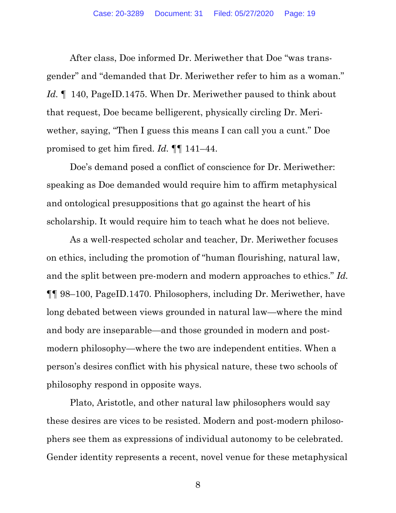After class, Doe informed Dr. Meriwether that Doe "was transgender" and "demanded that Dr. Meriwether refer to him as a woman." *Id.* ¶ 140, PageID.1475. When Dr. Meriwether paused to think about that request, Doe became belligerent, physically circling Dr. Meriwether, saying, "Then I guess this means I can call you a cunt." Doe promised to get him fired. *Id.* ¶¶ 141–44.

Doe's demand posed a conflict of conscience for Dr. Meriwether: speaking as Doe demanded would require him to affirm metaphysical and ontological presuppositions that go against the heart of his scholarship. It would require him to teach what he does not believe.

As a well-respected scholar and teacher, Dr. Meriwether focuses on ethics, including the promotion of "human flourishing, natural law, and the split between pre-modern and modern approaches to ethics." *Id.* ¶¶ 98–100, PageID.1470. Philosophers, including Dr. Meriwether, have long debated between views grounded in natural law—where the mind and body are inseparable—and those grounded in modern and postmodern philosophy—where the two are independent entities. When a person's desires conflict with his physical nature, these two schools of philosophy respond in opposite ways.

Plato, Aristotle, and other natural law philosophers would say these desires are vices to be resisted. Modern and post-modern philosophers see them as expressions of individual autonomy to be celebrated. Gender identity represents a recent, novel venue for these metaphysical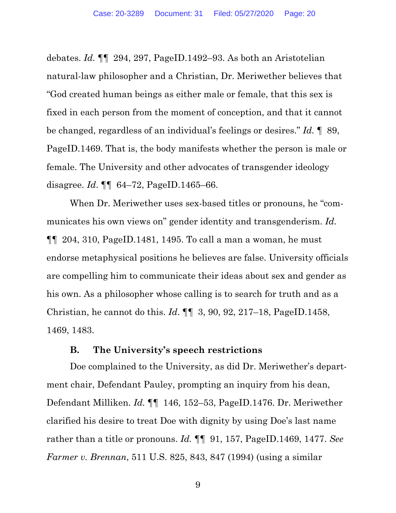debates. *Id.* ¶¶ 294, 297, PageID.1492–93. As both an Aristotelian natural-law philosopher and a Christian, Dr. Meriwether believes that "God created human beings as either male or female, that this sex is fixed in each person from the moment of conception, and that it cannot be changed, regardless of an individual's feelings or desires." *Id.* ¶ 89, PageID.1469. That is, the body manifests whether the person is male or female. The University and other advocates of transgender ideology disagree. *Id*. ¶¶ 64–72, PageID.1465–66.

When Dr. Meriwether uses sex-based titles or pronouns, he "communicates his own views on" gender identity and transgenderism. *Id.* ¶¶ 204, 310, PageID.1481, 1495. To call a man a woman, he must endorse metaphysical positions he believes are false. University officials are compelling him to communicate their ideas about sex and gender as his own. As a philosopher whose calling is to search for truth and as a Christian, he cannot do this. *Id*. ¶¶ 3, 90, 92, 217–18, PageID.1458, 1469, 1483.

# **B. The University's speech restrictions**

Doe complained to the University, as did Dr. Meriwether's department chair, Defendant Pauley, prompting an inquiry from his dean, Defendant Milliken. *Id.* ¶¶ 146, 152–53, PageID.1476. Dr. Meriwether clarified his desire to treat Doe with dignity by using Doe's last name rather than a title or pronouns. *Id.* ¶¶ 91, 157, PageID.1469, 1477. *See Farmer v. Brennan*, 511 U.S. 825, 843, 847 (1994) (using a similar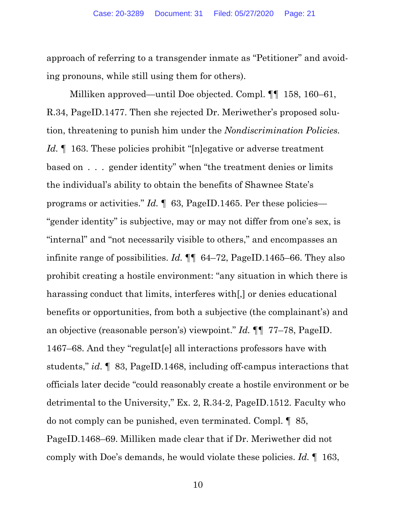approach of referring to a transgender inmate as "Petitioner" and avoiding pronouns, while still using them for others).

Milliken approved—until Doe objected. Compl. ¶¶ 158, 160–61, R.34, PageID.1477. Then she rejected Dr. Meriwether's proposed solution, threatening to punish him under the *Nondiscrimination Policies. Id.* 163. These policies prohibit "[n]egative or adverse treatment based on . . . gender identity" when "the treatment denies or limits the individual's ability to obtain the benefits of Shawnee State's programs or activities." *Id.* ¶ 63, PageID.1465. Per these policies— "gender identity" is subjective, may or may not differ from one's sex, is "internal" and "not necessarily visible to others," and encompasses an infinite range of possibilities. *Id.* ¶¶ 64–72, PageID.1465–66. They also prohibit creating a hostile environment: "any situation in which there is harassing conduct that limits, interferes with[,] or denies educational benefits or opportunities, from both a subjective (the complainant's) and an objective (reasonable person's) viewpoint." *Id.* ¶¶ 77–78, PageID. 1467–68. And they "regulat[e] all interactions professors have with students," *id*. ¶ 83, PageID.1468, including off-campus interactions that officials later decide "could reasonably create a hostile environment or be detrimental to the University," Ex. 2, R.34-2, PageID.1512. Faculty who do not comply can be punished, even terminated. Compl. ¶ 85, PageID.1468–69. Milliken made clear that if Dr. Meriwether did not comply with Doe's demands, he would violate these policies. *Id.* ¶ 163,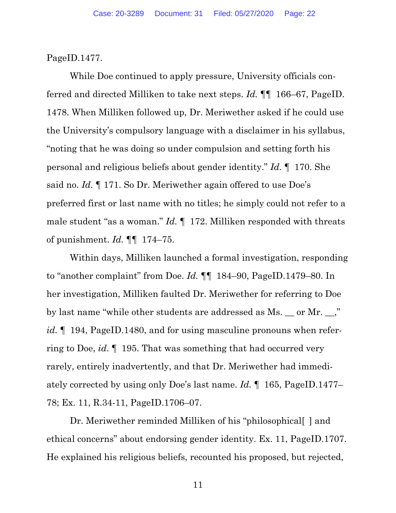PageID.1477.

While Doe continued to apply pressure, University officials conferred and directed Milliken to take next steps. *Id.* ¶¶ 166–67, PageID. 1478. When Milliken followed up, Dr. Meriwether asked if he could use the University's compulsory language with a disclaimer in his syllabus, "noting that he was doing so under compulsion and setting forth his personal and religious beliefs about gender identity." *Id.* ¶ 170. She said no. *Id.* ¶ 171. So Dr. Meriwether again offered to use Doe's preferred first or last name with no titles; he simply could not refer to a male student "as a woman." *Id.* ¶ 172. Milliken responded with threats of punishment. *Id.* ¶¶ 174–75.

Within days, Milliken launched a formal investigation, responding to "another complaint" from Doe. *Id.* ¶¶ 184–90, PageID.1479–80. In her investigation, Milliken faulted Dr. Meriwether for referring to Doe by last name "while other students are addressed as Ms. \_\_ or Mr. \_\_," *id.*  $\parallel$  194, PageID.1480, and for using masculine pronouns when referring to Doe, *id*. ¶ 195. That was something that had occurred very rarely, entirely inadvertently, and that Dr. Meriwether had immediately corrected by using only Doe's last name. *Id.* ¶ 165, PageID.1477– 78; Ex. 11, R.34-11, PageID.1706–07.

Dr. Meriwether reminded Milliken of his "philosophical[] and ethical concerns" about endorsing gender identity. Ex. 11, PageID.1707. He explained his religious beliefs, recounted his proposed, but rejected,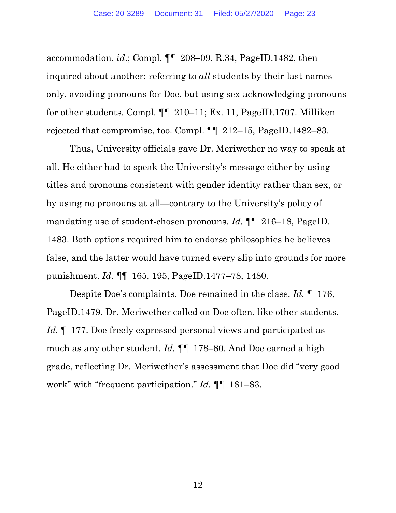accommodation, *id*.; Compl. ¶¶ 208–09, R.34, PageID.1482, then inquired about another: referring to *all* students by their last names only, avoiding pronouns for Doe, but using sex-acknowledging pronouns for other students. Compl. ¶¶ 210–11; Ex. 11, PageID.1707. Milliken rejected that compromise, too. Compl. ¶¶ 212–15, PageID.1482–83.

Thus, University officials gave Dr. Meriwether no way to speak at all. He either had to speak the University's message either by using titles and pronouns consistent with gender identity rather than sex, or by using no pronouns at all—contrary to the University's policy of mandating use of student-chosen pronouns. *Id.* ¶¶ 216–18, PageID. 1483. Both options required him to endorse philosophies he believes false, and the latter would have turned every slip into grounds for more punishment. *Id.* ¶¶ 165, 195, PageID.1477–78, 1480.

Despite Doe's complaints, Doe remained in the class. *Id.* ¶ 176, PageID.1479. Dr. Meriwether called on Doe often, like other students. *Id.* 177. Doe freely expressed personal views and participated as much as any other student. *Id.* ¶¶ 178–80. And Doe earned a high grade, reflecting Dr. Meriwether's assessment that Doe did "very good work" with "frequent participation." *Id.* ¶¶ 181–83.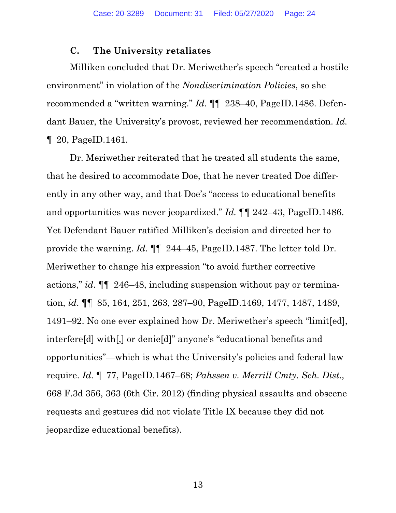# **C. The University retaliates**

Milliken concluded that Dr. Meriwether's speech "created a hostile environment" in violation of the *Nondiscrimination Policies*, so she recommended a "written warning." *Id.* ¶¶ 238–40, PageID.1486. Defendant Bauer, the University's provost, reviewed her recommendation. *Id.* ¶ 20, PageID.1461.

Dr. Meriwether reiterated that he treated all students the same, that he desired to accommodate Doe, that he never treated Doe differently in any other way, and that Doe's "access to educational benefits and opportunities was never jeopardized." *Id.* ¶¶ 242–43, PageID.1486. Yet Defendant Bauer ratified Milliken's decision and directed her to provide the warning. *Id.* ¶¶ 244–45, PageID.1487. The letter told Dr. Meriwether to change his expression "to avoid further corrective actions," *id*. ¶¶ 246–48, including suspension without pay or termination, *id*. ¶¶ 85, 164, 251, 263, 287–90, PageID.1469, 1477, 1487, 1489, 1491–92. No one ever explained how Dr. Meriwether's speech "limit[ed], interfere[d] with[,] or denie[d]" anyone's "educational benefits and opportunities"—which is what the University's policies and federal law require. *Id.* ¶ 77, PageID.1467–68; *Pahssen v. Merrill Cmty. Sch. Dist*., 668 F.3d 356, 363 (6th Cir. 2012) (finding physical assaults and obscene requests and gestures did not violate Title IX because they did not jeopardize educational benefits).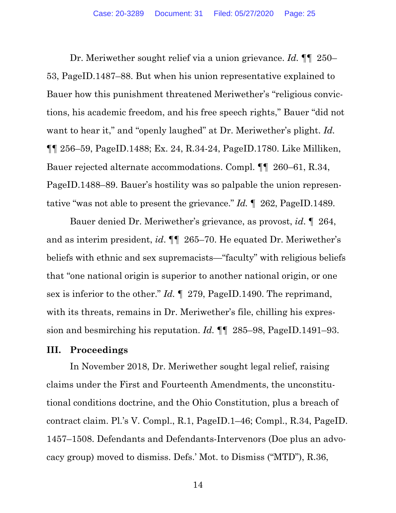Dr. Meriwether sought relief via a union grievance. *Id.* ¶¶ 250– 53, PageID.1487–88. But when his union representative explained to Bauer how this punishment threatened Meriwether's "religious convictions, his academic freedom, and his free speech rights," Bauer "did not want to hear it," and "openly laughed" at Dr. Meriwether's plight. *Id.* ¶¶ 256–59, PageID.1488; Ex. 24, R.34-24, PageID.1780. Like Milliken, Bauer rejected alternate accommodations. Compl. ¶¶ 260–61, R.34, PageID.1488–89. Bauer's hostility was so palpable the union representative "was not able to present the grievance." *Id.* ¶ 262, PageID.1489.

Bauer denied Dr. Meriwether's grievance, as provost, *id*. ¶ 264, and as interim president, *id*. ¶¶ 265–70. He equated Dr. Meriwether's beliefs with ethnic and sex supremacists—"faculty" with religious beliefs that "one national origin is superior to another national origin, or one sex is inferior to the other." *Id.* ¶ 279, PageID.1490. The reprimand, with its threats, remains in Dr. Meriwether's file, chilling his expression and besmirching his reputation. *Id.* ¶¶ 285–98, PageID.1491–93.

# **III. Proceedings**

In November 2018, Dr. Meriwether sought legal relief, raising claims under the First and Fourteenth Amendments, the unconstitutional conditions doctrine, and the Ohio Constitution, plus a breach of contract claim. Pl.'s V. Compl., R.1, PageID.1–46; Compl., R.34, PageID. 1457–1508. Defendants and Defendants-Intervenors (Doe plus an advocacy group) moved to dismiss. Defs.' Mot. to Dismiss ("MTD"), R.36,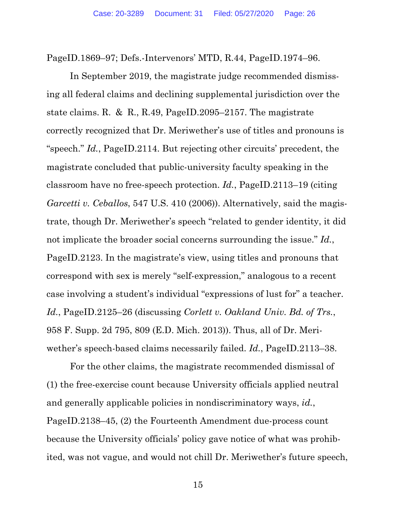PageID.1869–97; Defs.-Intervenors' MTD, R.44, PageID.1974–96.

In September 2019, the magistrate judge recommended dismissing all federal claims and declining supplemental jurisdiction over the state claims. R. & R., R.49, PageID.2095–2157. The magistrate correctly recognized that Dr. Meriwether's use of titles and pronouns is "speech." *Id.*, PageID.2114. But rejecting other circuits' precedent, the magistrate concluded that public-university faculty speaking in the classroom have no free-speech protection. *Id.*, PageID.2113–19 (citing *Garcetti v. Ceballos*, 547 U.S. 410 (2006)). Alternatively, said the magistrate, though Dr. Meriwether's speech "related to gender identity, it did not implicate the broader social concerns surrounding the issue." *Id.*, PageID.2123. In the magistrate's view, using titles and pronouns that correspond with sex is merely "self-expression," analogous to a recent case involving a student's individual "expressions of lust for" a teacher. *Id.*, PageID.2125–26 (discussing *Corlett v. Oakland Univ. Bd. of Trs.*, 958 F. Supp. 2d 795, 809 (E.D. Mich. 2013)). Thus, all of Dr. Meriwether's speech-based claims necessarily failed. *Id.*, PageID.2113–38.

For the other claims, the magistrate recommended dismissal of (1) the free-exercise count because University officials applied neutral and generally applicable policies in nondiscriminatory ways, *id.*, PageID.2138–45, (2) the Fourteenth Amendment due-process count because the University officials' policy gave notice of what was prohibited, was not vague, and would not chill Dr. Meriwether's future speech,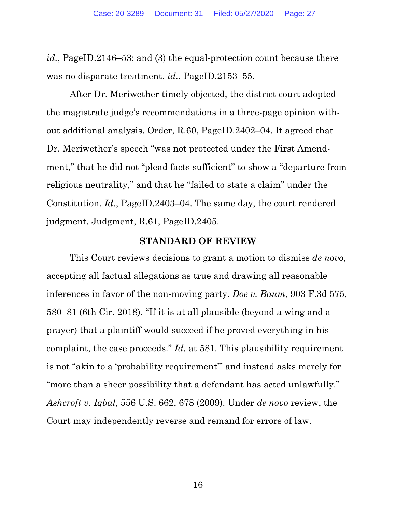*id.*, PageID.2146–53; and (3) the equal-protection count because there was no disparate treatment, *id.*, PageID.2153–55.

After Dr. Meriwether timely objected, the district court adopted the magistrate judge's recommendations in a three-page opinion without additional analysis. Order, R.60, PageID.2402–04. It agreed that Dr. Meriwether's speech "was not protected under the First Amendment," that he did not "plead facts sufficient" to show a "departure from religious neutrality," and that he "failed to state a claim" under the Constitution. *Id.*, PageID.2403–04. The same day, the court rendered judgment. Judgment, R.61, PageID.2405.

### **STANDARD OF REVIEW**

This Court reviews decisions to grant a motion to dismiss *de novo*, accepting all factual allegations as true and drawing all reasonable inferences in favor of the non-moving party. *Doe v. Baum*, 903 F.3d 575, 580–81 (6th Cir. 2018). "If it is at all plausible (beyond a wing and a prayer) that a plaintiff would succeed if he proved everything in his complaint, the case proceeds." *Id.* at 581. This plausibility requirement is not "akin to a 'probability requirement'" and instead asks merely for "more than a sheer possibility that a defendant has acted unlawfully." *Ashcroft v. Iqbal*, 556 U.S. 662, 678 (2009). Under *de novo* review, the Court may independently reverse and remand for errors of law.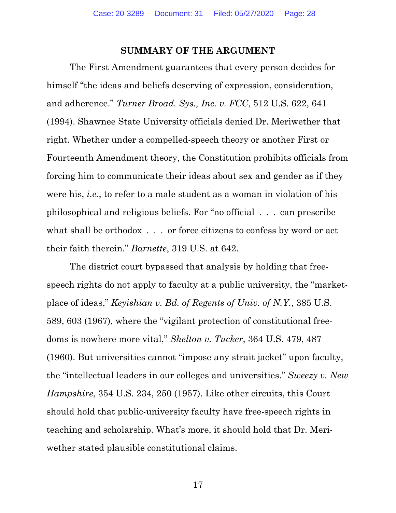#### **SUMMARY OF THE ARGUMENT**

The First Amendment guarantees that every person decides for himself "the ideas and beliefs deserving of expression, consideration, and adherence." *Turner Broad. Sys., Inc. v. FCC*, 512 U.S. 622, 641 (1994). Shawnee State University officials denied Dr. Meriwether that right. Whether under a compelled-speech theory or another First or Fourteenth Amendment theory, the Constitution prohibits officials from forcing him to communicate their ideas about sex and gender as if they were his, *i.e.*, to refer to a male student as a woman in violation of his philosophical and religious beliefs. For "no official . . . can prescribe what shall be orthodox . . . or force citizens to confess by word or act their faith therein." *Barnette*, 319 U.S. at 642.

The district court bypassed that analysis by holding that freespeech rights do not apply to faculty at a public university, the "marketplace of ideas," *Keyishian v. Bd. of Regents of Univ. of N.Y.*, 385 U.S. 589, 603 (1967), where the "vigilant protection of constitutional freedoms is nowhere more vital," *Shelton v. Tucker*, 364 U.S. 479, 487 (1960). But universities cannot "impose any strait jacket" upon faculty, the "intellectual leaders in our colleges and universities." *Sweezy v. New Hampshire*, 354 U.S. 234, 250 (1957). Like other circuits, this Court should hold that public-university faculty have free-speech rights in teaching and scholarship. What's more, it should hold that Dr. Meriwether stated plausible constitutional claims.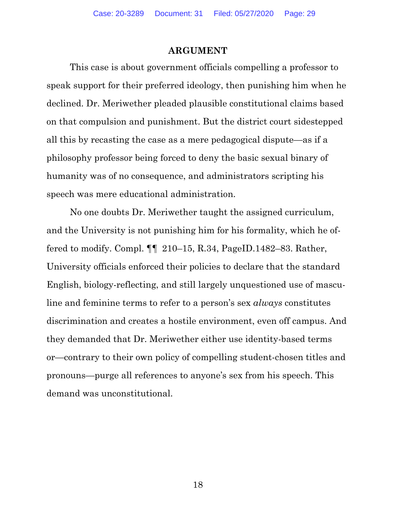#### **ARGUMENT**

This case is about government officials compelling a professor to speak support for their preferred ideology, then punishing him when he declined. Dr. Meriwether pleaded plausible constitutional claims based on that compulsion and punishment. But the district court sidestepped all this by recasting the case as a mere pedagogical dispute—as if a philosophy professor being forced to deny the basic sexual binary of humanity was of no consequence, and administrators scripting his speech was mere educational administration.

No one doubts Dr. Meriwether taught the assigned curriculum, and the University is not punishing him for his formality, which he offered to modify. Compl. ¶¶ 210–15, R.34, PageID.1482–83. Rather, University officials enforced their policies to declare that the standard English, biology-reflecting, and still largely unquestioned use of masculine and feminine terms to refer to a person's sex *always* constitutes discrimination and creates a hostile environment, even off campus. And they demanded that Dr. Meriwether either use identity-based terms or—contrary to their own policy of compelling student-chosen titles and pronouns—purge all references to anyone's sex from his speech. This demand was unconstitutional.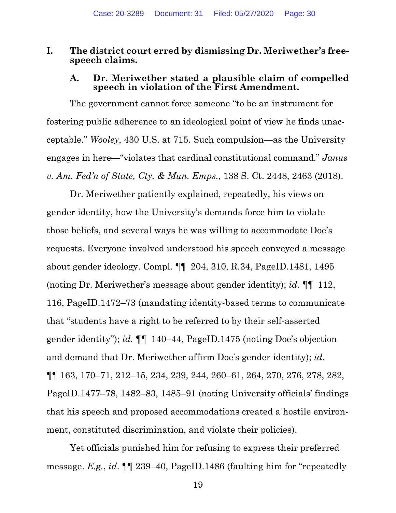### **I. The district court erred by dismissing Dr. Meriwether's freespeech claims.**

### **A. Dr. Meriwether stated a plausible claim of compelled speech in violation of the First Amendment.**

The government cannot force someone "to be an instrument for fostering public adherence to an ideological point of view he finds unacceptable." *Wooley*, 430 U.S. at 715. Such compulsion—as the University engages in here—"violates that cardinal constitutional command." *Janus v. Am. Fed'n of State, Cty. & Mun. Emps.*, 138 S. Ct. 2448, 2463 (2018).

Dr. Meriwether patiently explained, repeatedly, his views on gender identity, how the University's demands force him to violate those beliefs, and several ways he was willing to accommodate Doe's requests. Everyone involved understood his speech conveyed a message about gender ideology. Compl. ¶¶ 204, 310, R.34, PageID.1481, 1495 (noting Dr. Meriwether's message about gender identity); *id.* ¶¶ 112, 116, PageID.1472–73 (mandating identity-based terms to communicate that "students have a right to be referred to by their self-asserted gender identity"); *id.* ¶¶ 140–44, PageID.1475 (noting Doe's objection and demand that Dr. Meriwether affirm Doe's gender identity); *id.* ¶¶ 163, 170–71, 212–15, 234, 239, 244, 260–61, 264, 270, 276, 278, 282, PageID.1477–78, 1482–83, 1485–91 (noting University officials' findings that his speech and proposed accommodations created a hostile environment, constituted discrimination, and violate their policies).

Yet officials punished him for refusing to express their preferred message. *E.g.*, *id*. ¶¶ 239–40, PageID.1486 (faulting him for "repeatedly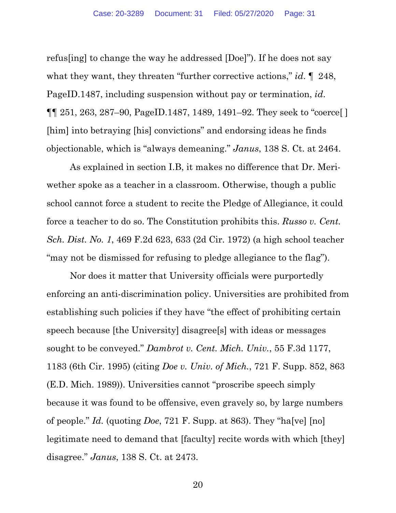refus[ing] to change the way he addressed [Doe]"). If he does not say what they want, they threaten "further corrective actions," *id*. ¶ 248, PageID.1487, including suspension without pay or termination, *id*. ¶¶ 251, 263, 287–90, PageID.1487, 1489, 1491–92. They seek to "coerce[ ] [him] into betraying [his] convictions" and endorsing ideas he finds objectionable, which is "always demeaning." *Janus*, 138 S. Ct. at 2464.

As explained in section I.B, it makes no difference that Dr. Meriwether spoke as a teacher in a classroom. Otherwise, though a public school cannot force a student to recite the Pledge of Allegiance, it could force a teacher to do so. The Constitution prohibits this. *Russo v. Cent. Sch. Dist. No. 1*, 469 F.2d 623, 633 (2d Cir. 1972) (a high school teacher "may not be dismissed for refusing to pledge allegiance to the flag").

Nor does it matter that University officials were purportedly enforcing an anti-discrimination policy. Universities are prohibited from establishing such policies if they have "the effect of prohibiting certain speech because [the University] disagree[s] with ideas or messages sought to be conveyed." *Dambrot v. Cent. Mich. Univ.*, 55 F.3d 1177, 1183 (6th Cir. 1995) (citing *Doe v. Univ. of Mich.*, 721 F. Supp. 852, 863 (E.D. Mich. 1989)). Universities cannot "proscribe speech simply because it was found to be offensive, even gravely so, by large numbers of people." *Id.* (quoting *Doe*, 721 F. Supp. at 863). They "ha[ve] [no] legitimate need to demand that [faculty] recite words with which [they] disagree." *Janus*, 138 S. Ct. at 2473.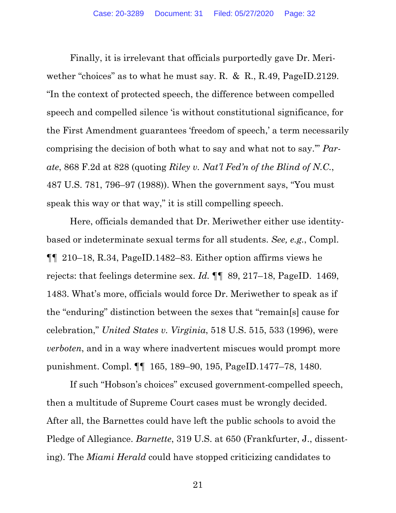Finally, it is irrelevant that officials purportedly gave Dr. Meriwether "choices" as to what he must say. R. & R., R.49, PageID.2129. "In the context of protected speech, the difference between compelled speech and compelled silence 'is without constitutional significance, for the First Amendment guarantees 'freedom of speech,' a term necessarily comprising the decision of both what to say and what not to say.'" *Parate*, 868 F.2d at 828 (quoting *Riley v. Nat'l Fed'n of the Blind of N.C.*, 487 U.S. 781, 796–97 (1988)). When the government says, "You must speak this way or that way," it is still compelling speech.

Here, officials demanded that Dr. Meriwether either use identitybased or indeterminate sexual terms for all students. *See, e.g.*, Compl. ¶¶ 210–18, R.34, PageID.1482–83. Either option affirms views he rejects: that feelings determine sex. *Id.* ¶¶ 89, 217–18, PageID. 1469, 1483. What's more, officials would force Dr. Meriwether to speak as if the "enduring" distinction between the sexes that "remain[s] cause for celebration," *United States v. Virginia*, 518 U.S. 515, 533 (1996), were *verboten*, and in a way where inadvertent miscues would prompt more punishment. Compl. ¶¶ 165, 189–90, 195, PageID.1477–78, 1480.

If such "Hobson's choices" excused government-compelled speech, then a multitude of Supreme Court cases must be wrongly decided. After all, the Barnettes could have left the public schools to avoid the Pledge of Allegiance. *Barnette*, 319 U.S. at 650 (Frankfurter, J., dissenting). The *Miami Herald* could have stopped criticizing candidates to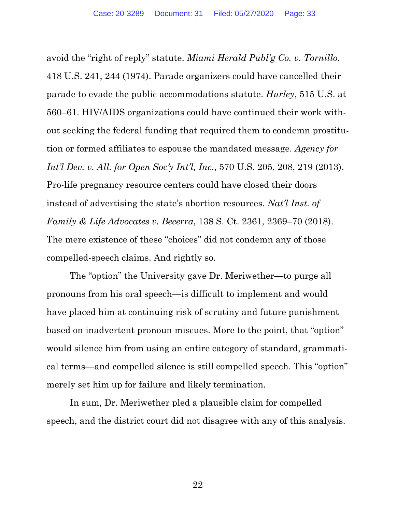avoid the "right of reply" statute. *Miami Herald Publ'g Co. v. Tornillo*, 418 U.S. 241, 244 (1974). Parade organizers could have cancelled their parade to evade the public accommodations statute. *Hurley*, 515 U.S. at 560–61. HIV/AIDS organizations could have continued their work without seeking the federal funding that required them to condemn prostitution or formed affiliates to espouse the mandated message. *Agency for Int'l Dev. v. All. for Open Soc'y Int'l, Inc.*, 570 U.S. 205, 208, 219 (2013). Pro-life pregnancy resource centers could have closed their doors instead of advertising the state's abortion resources. *Nat'l Inst. of Family & Life Advocates v. Becerra*, 138 S. Ct. 2361, 2369–70 (2018). The mere existence of these "choices" did not condemn any of those compelled-speech claims. And rightly so.

The "option" the University gave Dr. Meriwether—to purge all pronouns from his oral speech—is difficult to implement and would have placed him at continuing risk of scrutiny and future punishment based on inadvertent pronoun miscues. More to the point, that "option" would silence him from using an entire category of standard, grammatical terms—and compelled silence is still compelled speech. This "option" merely set him up for failure and likely termination.

In sum, Dr. Meriwether pled a plausible claim for compelled speech, and the district court did not disagree with any of this analysis.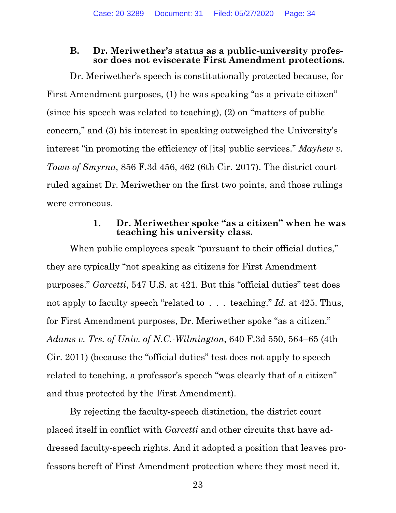# **B. Dr. Meriwether's status as a public-university professor does not eviscerate First Amendment protections.**

Dr. Meriwether's speech is constitutionally protected because, for First Amendment purposes, (1) he was speaking "as a private citizen" (since his speech was related to teaching), (2) on "matters of public concern," and (3) his interest in speaking outweighed the University's interest "in promoting the efficiency of [its] public services." *Mayhew v. Town of Smyrna*, 856 F.3d 456, 462 (6th Cir. 2017). The district court ruled against Dr. Meriwether on the first two points, and those rulings were erroneous.

# **1. Dr. Meriwether spoke "as a citizen" when he was teaching his university class.**

When public employees speak "pursuant to their official duties," they are typically "not speaking as citizens for First Amendment purposes." *Garcetti*, 547 U.S. at 421. But this "official duties" test does not apply to faculty speech "related to . . . teaching." *Id.* at 425. Thus, for First Amendment purposes, Dr. Meriwether spoke "as a citizen." *Adams v. Trs. of Univ. of N.C.-Wilmington*, 640 F.3d 550, 564–65 (4th Cir. 2011) (because the "official duties" test does not apply to speech related to teaching, a professor's speech "was clearly that of a citizen" and thus protected by the First Amendment).

By rejecting the faculty-speech distinction, the district court placed itself in conflict with *Garcetti* and other circuits that have addressed faculty-speech rights. And it adopted a position that leaves professors bereft of First Amendment protection where they most need it.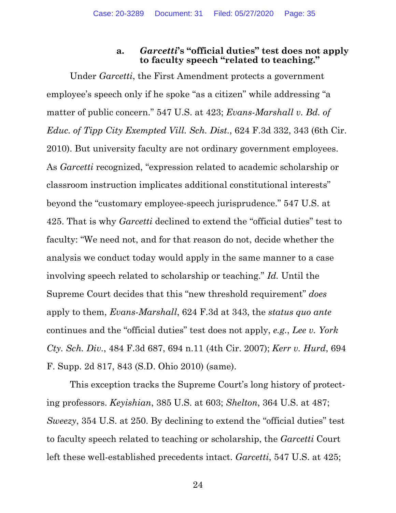### **a.** *Garcetti***'s "official duties" test does not apply to faculty speech "related to teaching."**

Under *Garcetti*, the First Amendment protects a government employee's speech only if he spoke "as a citizen" while addressing "a matter of public concern." 547 U.S. at 423; *Evans-Marshall v. Bd. of Educ. of Tipp City Exempted Vill. Sch. Dist.*, 624 F.3d 332, 343 (6th Cir. 2010). But university faculty are not ordinary government employees. As *Garcetti* recognized, "expression related to academic scholarship or classroom instruction implicates additional constitutional interests" beyond the "customary employee-speech jurisprudence." 547 U.S. at 425. That is why *Garcetti* declined to extend the "official duties" test to faculty: "We need not, and for that reason do not, decide whether the analysis we conduct today would apply in the same manner to a case involving speech related to scholarship or teaching." *Id.* Until the Supreme Court decides that this "new threshold requirement" *does* apply to them, *Evans-Marshall*, 624 F.3d at 343, the *status quo ante* continues and the "official duties" test does not apply, *e.g.*, *Lee v. York Cty. Sch. Div.*, 484 F.3d 687, 694 n.11 (4th Cir. 2007); *Kerr v. Hurd*, 694 F. Supp. 2d 817, 843 (S.D. Ohio 2010) (same).

This exception tracks the Supreme Court's long history of protecting professors. *Keyishian*, 385 U.S. at 603; *Shelton*, 364 U.S. at 487; *Sweezy*, 354 U.S. at 250. By declining to extend the "official duties" test to faculty speech related to teaching or scholarship, the *Garcetti* Court left these well-established precedents intact. *Garcetti*, 547 U.S. at 425;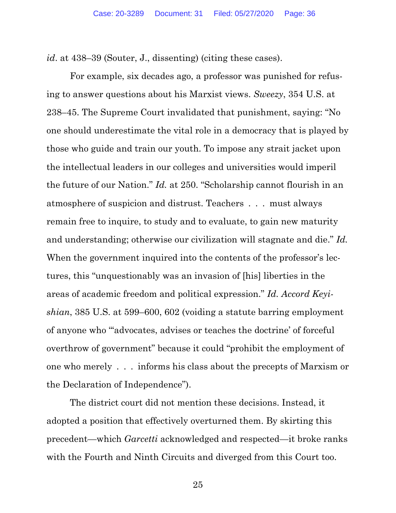*id*. at 438–39 (Souter, J., dissenting) (citing these cases).

For example, six decades ago, a professor was punished for refusing to answer questions about his Marxist views. *Sweezy*, 354 U.S. at 238–45. The Supreme Court invalidated that punishment, saying: "No one should underestimate the vital role in a democracy that is played by those who guide and train our youth. To impose any strait jacket upon the intellectual leaders in our colleges and universities would imperil the future of our Nation." *Id.* at 250. "Scholarship cannot flourish in an atmosphere of suspicion and distrust. Teachers . . . must always remain free to inquire, to study and to evaluate, to gain new maturity and understanding; otherwise our civilization will stagnate and die." *Id.* When the government inquired into the contents of the professor's lectures, this "unquestionably was an invasion of [his] liberties in the areas of academic freedom and political expression." *Id. Accord Keyishian*, 385 U.S. at 599–600, 602 (voiding a statute barring employment of anyone who "'advocates, advises or teaches the doctrine' of forceful overthrow of government" because it could "prohibit the employment of one who merely . . . informs his class about the precepts of Marxism or the Declaration of Independence").

The district court did not mention these decisions. Instead, it adopted a position that effectively overturned them. By skirting this precedent—which *Garcetti* acknowledged and respected—it broke ranks with the Fourth and Ninth Circuits and diverged from this Court too.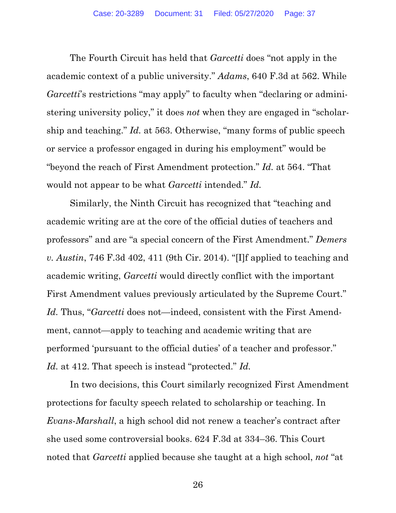The Fourth Circuit has held that *Garcetti* does "not apply in the academic context of a public university." *Adams*, 640 F.3d at 562. While *Garcetti*'s restrictions "may apply" to faculty when "declaring or administering university policy," it does *not* when they are engaged in "scholarship and teaching." *Id.* at 563. Otherwise, "many forms of public speech or service a professor engaged in during his employment" would be "beyond the reach of First Amendment protection." *Id.* at 564. "That would not appear to be what *Garcetti* intended." *Id.*

Similarly, the Ninth Circuit has recognized that "teaching and academic writing are at the core of the official duties of teachers and professors" and are "a special concern of the First Amendment." *Demers v. Austin*, 746 F.3d 402, 411 (9th Cir. 2014). "[I]f applied to teaching and academic writing, *Garcetti* would directly conflict with the important First Amendment values previously articulated by the Supreme Court." *Id.* Thus, "*Garcetti* does not—indeed, consistent with the First Amendment, cannot—apply to teaching and academic writing that are performed 'pursuant to the official duties' of a teacher and professor." *Id.* at 412. That speech is instead "protected." *Id.*

In two decisions, this Court similarly recognized First Amendment protections for faculty speech related to scholarship or teaching. In *Evans-Marshall*, a high school did not renew a teacher's contract after she used some controversial books. 624 F.3d at 334–36. This Court noted that *Garcetti* applied because she taught at a high school, *not* "at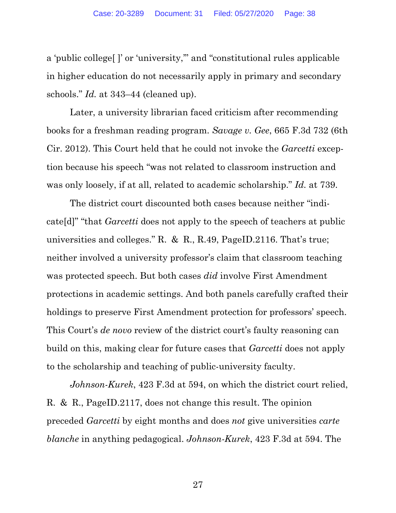a 'public college[ ]' or 'university,'" and "constitutional rules applicable in higher education do not necessarily apply in primary and secondary schools." *Id.* at 343–44 (cleaned up).

Later, a university librarian faced criticism after recommending books for a freshman reading program. *Savage v. Gee*, 665 F.3d 732 (6th Cir. 2012). This Court held that he could not invoke the *Garcetti* exception because his speech "was not related to classroom instruction and was only loosely, if at all, related to academic scholarship." *Id.* at 739.

The district court discounted both cases because neither "indicate[d]" "that *Garcetti* does not apply to the speech of teachers at public universities and colleges." R. & R., R.49, PageID.2116. That's true; neither involved a university professor's claim that classroom teaching was protected speech. But both cases *did* involve First Amendment protections in academic settings. And both panels carefully crafted their holdings to preserve First Amendment protection for professors' speech. This Court's *de novo* review of the district court's faulty reasoning can build on this, making clear for future cases that *Garcetti* does not apply to the scholarship and teaching of public-university faculty.

*Johnson-Kurek*, 423 F.3d at 594, on which the district court relied, R. & R., PageID.2117, does not change this result. The opinion preceded *Garcetti* by eight months and does *not* give universities *carte blanche* in anything pedagogical. *Johnson-Kurek*, 423 F.3d at 594. The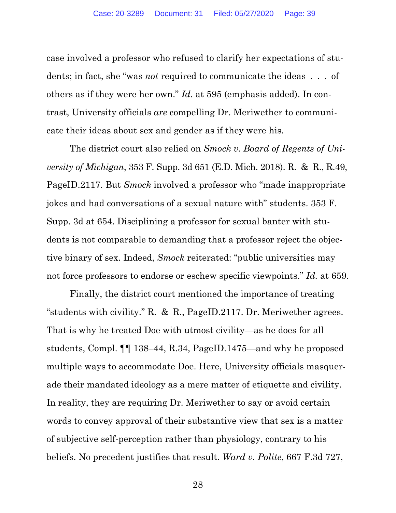case involved a professor who refused to clarify her expectations of students; in fact, she "was *not* required to communicate the ideas . . . of others as if they were her own." *Id.* at 595 (emphasis added). In contrast, University officials *are* compelling Dr. Meriwether to communicate their ideas about sex and gender as if they were his.

The district court also relied on *Smock v. Board of Regents of University of Michigan*, 353 F. Supp. 3d 651 (E.D. Mich. 2018). R. & R., R.49, PageID.2117. But *Smock* involved a professor who "made inappropriate jokes and had conversations of a sexual nature with" students. 353 F. Supp. 3d at 654. Disciplining a professor for sexual banter with students is not comparable to demanding that a professor reject the objective binary of sex. Indeed, *Smock* reiterated: "public universities may not force professors to endorse or eschew specific viewpoints." *Id.* at 659.

Finally, the district court mentioned the importance of treating "students with civility." R. & R., PageID.2117. Dr. Meriwether agrees. That is why he treated Doe with utmost civility—as he does for all students, Compl. ¶¶ 138–44, R.34, PageID.1475—and why he proposed multiple ways to accommodate Doe. Here, University officials masquerade their mandated ideology as a mere matter of etiquette and civility. In reality, they are requiring Dr. Meriwether to say or avoid certain words to convey approval of their substantive view that sex is a matter of subjective self-perception rather than physiology, contrary to his beliefs. No precedent justifies that result. *Ward v. Polite*, 667 F.3d 727,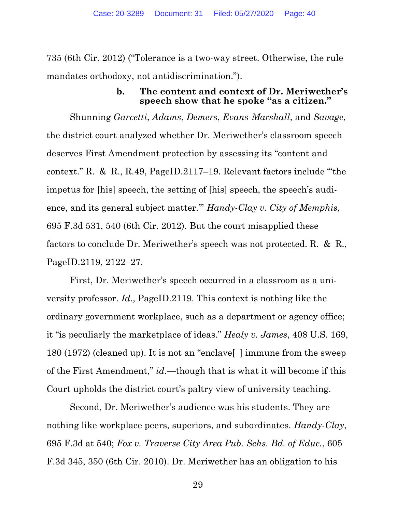735 (6th Cir. 2012) ("Tolerance is a two-way street. Otherwise, the rule mandates orthodoxy, not antidiscrimination.").

## **b. The content and context of Dr. Meriwether's speech show that he spoke "as a citizen."**

Shunning *Garcetti*, *Adams*, *Demers*, *Evans-Marshall*, and *Savage*, the district court analyzed whether Dr. Meriwether's classroom speech deserves First Amendment protection by assessing its "content and context." R. & R., R.49, PageID.2117–19. Relevant factors include "'the impetus for [his] speech, the setting of [his] speech, the speech's audience, and its general subject matter.'" *Handy-Clay v. City of Memphis*, 695 F.3d 531, 540 (6th Cir. 2012). But the court misapplied these factors to conclude Dr. Meriwether's speech was not protected. R. & R., PageID.2119, 2122–27.

First, Dr. Meriwether's speech occurred in a classroom as a university professor. *Id*., PageID.2119. This context is nothing like the ordinary government workplace, such as a department or agency office; it "is peculiarly the marketplace of ideas." *Healy v. James*, 408 U.S. 169, 180 (1972) (cleaned up). It is not an "enclave[ ] immune from the sweep of the First Amendment," *id*.—though that is what it will become if this Court upholds the district court's paltry view of university teaching.

Second, Dr. Meriwether's audience was his students. They are nothing like workplace peers, superiors, and subordinates. *Handy-Clay*, 695 F.3d at 540; *Fox v. Traverse City Area Pub. Schs. Bd. of Educ.*, 605 F.3d 345, 350 (6th Cir. 2010). Dr. Meriwether has an obligation to his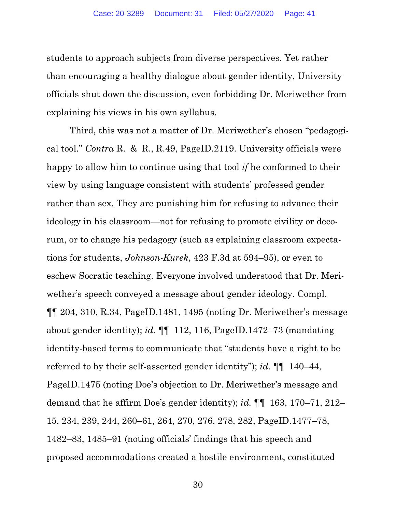students to approach subjects from diverse perspectives. Yet rather than encouraging a healthy dialogue about gender identity, University officials shut down the discussion, even forbidding Dr. Meriwether from explaining his views in his own syllabus.

Third, this was not a matter of Dr. Meriwether's chosen "pedagogical tool." *Contra* R. & R., R.49, PageID.2119. University officials were happy to allow him to continue using that tool *if* he conformed to their view by using language consistent with students' professed gender rather than sex. They are punishing him for refusing to advance their ideology in his classroom—not for refusing to promote civility or decorum, or to change his pedagogy (such as explaining classroom expectations for students, *Johnson-Kurek*, 423 F.3d at 594–95), or even to eschew Socratic teaching. Everyone involved understood that Dr. Meriwether's speech conveyed a message about gender ideology. Compl.  $\P$  $[$  204, 310, R.34, PageID.1481, 1495 (noting Dr. Meriwether's message about gender identity); *id.* ¶¶ 112, 116, PageID.1472–73 (mandating identity-based terms to communicate that "students have a right to be referred to by their self-asserted gender identity"); *id.* ¶¶ 140–44, PageID.1475 (noting Doe's objection to Dr. Meriwether's message and demand that he affirm Doe's gender identity); *id.* ¶¶ 163, 170–71, 212– 15, 234, 239, 244, 260–61, 264, 270, 276, 278, 282, PageID.1477–78, 1482–83, 1485–91 (noting officials' findings that his speech and proposed accommodations created a hostile environment, constituted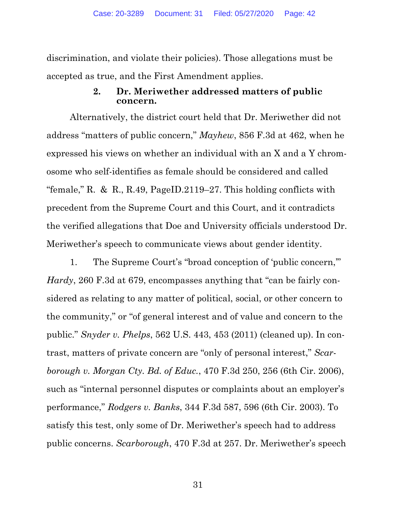discrimination, and violate their policies). Those allegations must be accepted as true, and the First Amendment applies.

# **2. Dr. Meriwether addressed matters of public concern.**

Alternatively, the district court held that Dr. Meriwether did not address "matters of public concern," *Mayhew*, 856 F.3d at 462, when he expressed his views on whether an individual with an X and a Y chromosome who self-identifies as female should be considered and called "female," R. & R., R.49, PageID.2119–27. This holding conflicts with precedent from the Supreme Court and this Court, and it contradicts the verified allegations that Doe and University officials understood Dr. Meriwether's speech to communicate views about gender identity.

1. The Supreme Court's "broad conception of 'public concern,'" *Hardy*, 260 F.3d at 679, encompasses anything that "can be fairly considered as relating to any matter of political, social, or other concern to the community," or "of general interest and of value and concern to the public." *Snyder v. Phelps*, 562 U.S. 443, 453 (2011) (cleaned up). In contrast, matters of private concern are "only of personal interest," *Scarborough v. Morgan Cty. Bd. of Educ.*, 470 F.3d 250, 256 (6th Cir. 2006), such as "internal personnel disputes or complaints about an employer's performance," *Rodgers v. Banks*, 344 F.3d 587, 596 (6th Cir. 2003). To satisfy this test, only some of Dr. Meriwether's speech had to address public concerns. *Scarborough*, 470 F.3d at 257. Dr. Meriwether's speech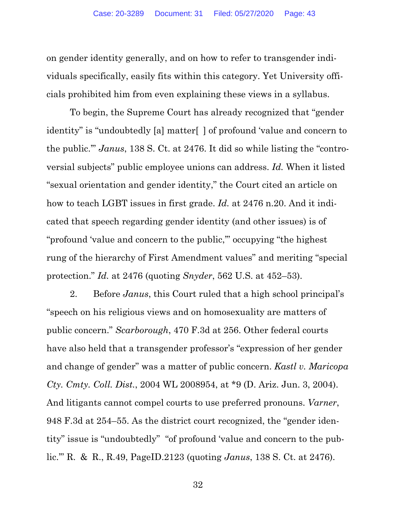on gender identity generally, and on how to refer to transgender individuals specifically, easily fits within this category. Yet University officials prohibited him from even explaining these views in a syllabus.

To begin, the Supreme Court has already recognized that "gender identity" is "undoubtedly [a] matter[ ] of profound 'value and concern to the public.'" *Janus*, 138 S. Ct. at 2476. It did so while listing the "controversial subjects" public employee unions can address. *Id.* When it listed "sexual orientation and gender identity," the Court cited an article on how to teach LGBT issues in first grade. *Id.* at 2476 n.20. And it indicated that speech regarding gender identity (and other issues) is of "profound 'value and concern to the public,'" occupying "the highest rung of the hierarchy of First Amendment values" and meriting "special protection." *Id.* at 2476 (quoting *Snyder*, 562 U.S. at 452–53).

2. Before *Janus*, this Court ruled that a high school principal's "speech on his religious views and on homosexuality are matters of public concern." *Scarborough*, 470 F.3d at 256. Other federal courts have also held that a transgender professor's "expression of her gender and change of gender" was a matter of public concern. *Kastl v. Maricopa Cty. Cmty. Coll. Dist.*, 2004 WL 2008954, at \*9 (D. Ariz. Jun. 3, 2004). And litigants cannot compel courts to use preferred pronouns. *Varner*, 948 F.3d at 254–55. As the district court recognized, the "gender identity" issue is "undoubtedly" "of profound 'value and concern to the public.'" R. & R., R.49, PageID.2123 (quoting *Janus*, 138 S. Ct. at 2476).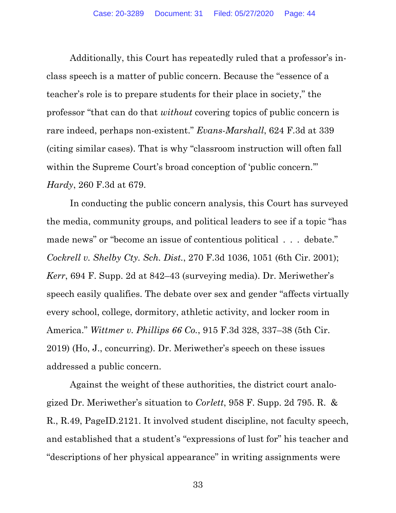Additionally, this Court has repeatedly ruled that a professor's inclass speech is a matter of public concern. Because the "essence of a teacher's role is to prepare students for their place in society," the professor "that can do that *without* covering topics of public concern is rare indeed, perhaps non-existent." *Evans-Marshall*, 624 F.3d at 339 (citing similar cases). That is why "classroom instruction will often fall within the Supreme Court's broad conception of 'public concern." *Hardy*, 260 F.3d at 679.

In conducting the public concern analysis, this Court has surveyed the media, community groups, and political leaders to see if a topic "has made news" or "become an issue of contentious political . . . debate." *Cockrell v. Shelby Cty. Sch. Dist.*, 270 F.3d 1036, 1051 (6th Cir. 2001); *Kerr*, 694 F. Supp. 2d at 842–43 (surveying media). Dr. Meriwether's speech easily qualifies. The debate over sex and gender "affects virtually every school, college, dormitory, athletic activity, and locker room in America." *Wittmer v. Phillips 66 Co.*, 915 F.3d 328, 337–38 (5th Cir. 2019) (Ho, J., concurring). Dr. Meriwether's speech on these issues addressed a public concern.

Against the weight of these authorities, the district court analogized Dr. Meriwether's situation to *Corlett*, 958 F. Supp. 2d 795. R. & R., R.49, PageID.2121. It involved student discipline, not faculty speech, and established that a student's "expressions of lust for" his teacher and "descriptions of her physical appearance" in writing assignments were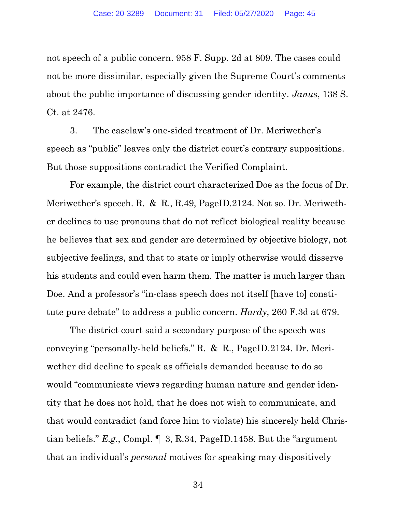not speech of a public concern. 958 F. Supp. 2d at 809. The cases could not be more dissimilar, especially given the Supreme Court's comments about the public importance of discussing gender identity. *Janus*, 138 S. Ct. at 2476.

3. The caselaw's one-sided treatment of Dr. Meriwether's speech as "public" leaves only the district court's contrary suppositions. But those suppositions contradict the Verified Complaint.

For example, the district court characterized Doe as the focus of Dr. Meriwether's speech. R. & R., R.49, PageID.2124. Not so. Dr. Meriwether declines to use pronouns that do not reflect biological reality because he believes that sex and gender are determined by objective biology, not subjective feelings, and that to state or imply otherwise would disserve his students and could even harm them. The matter is much larger than Doe. And a professor's "in-class speech does not itself [have to] constitute pure debate" to address a public concern. *Hardy*, 260 F.3d at 679.

The district court said a secondary purpose of the speech was conveying "personally-held beliefs." R. & R., PageID.2124. Dr. Meriwether did decline to speak as officials demanded because to do so would "communicate views regarding human nature and gender identity that he does not hold, that he does not wish to communicate, and that would contradict (and force him to violate) his sincerely held Christian beliefs." *E.g.*, Compl. ¶ 3, R.34, PageID.1458. But the "argument that an individual's *personal* motives for speaking may dispositively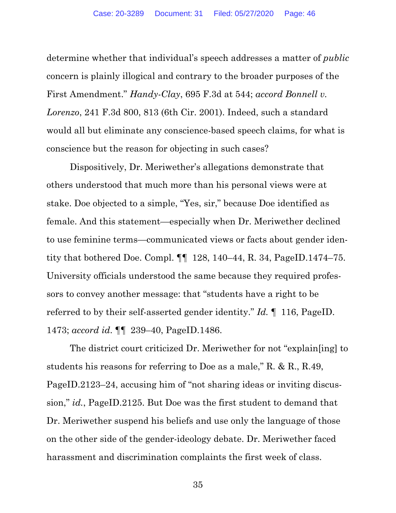determine whether that individual's speech addresses a matter of *public*  concern is plainly illogical and contrary to the broader purposes of the First Amendment." *Handy-Clay*, 695 F.3d at 544; *accord Bonnell v. Lorenzo*, 241 F.3d 800, 813 (6th Cir. 2001). Indeed, such a standard would all but eliminate any conscience-based speech claims, for what is conscience but the reason for objecting in such cases?

Dispositively, Dr. Meriwether's allegations demonstrate that others understood that much more than his personal views were at stake. Doe objected to a simple, "Yes, sir," because Doe identified as female. And this statement—especially when Dr. Meriwether declined to use feminine terms—communicated views or facts about gender identity that bothered Doe. Compl. ¶¶ 128, 140–44, R. 34, PageID.1474–75. University officials understood the same because they required professors to convey another message: that "students have a right to be referred to by their self-asserted gender identity." *Id.* ¶ 116, PageID. 1473; *accord id*. ¶¶ 239–40, PageID.1486.

The district court criticized Dr. Meriwether for not "explain[ing] to students his reasons for referring to Doe as a male," R. & R., R.49, PageID.2123–24, accusing him of "not sharing ideas or inviting discussion," *id.*, PageID.2125. But Doe was the first student to demand that Dr. Meriwether suspend his beliefs and use only the language of those on the other side of the gender-ideology debate. Dr. Meriwether faced harassment and discrimination complaints the first week of class.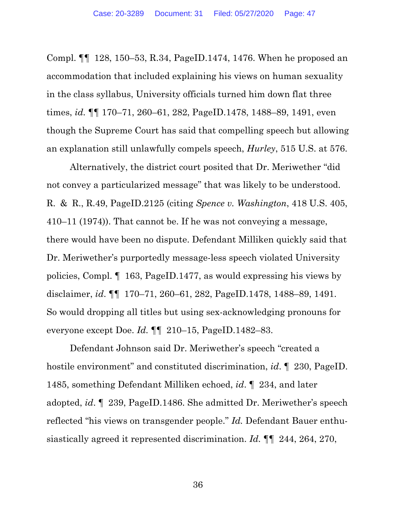Compl. ¶¶ 128, 150–53, R.34, PageID.1474, 1476. When he proposed an accommodation that included explaining his views on human sexuality in the class syllabus, University officials turned him down flat three times, *id.* ¶¶ 170–71, 260–61, 282, PageID.1478, 1488–89, 1491, even though the Supreme Court has said that compelling speech but allowing an explanation still unlawfully compels speech, *Hurley*, 515 U.S. at 576.

Alternatively, the district court posited that Dr. Meriwether "did not convey a particularized message" that was likely to be understood. R. & R., R.49, PageID.2125 (citing *Spence v. Washington*, 418 U.S. 405, 410–11 (1974)). That cannot be. If he was not conveying a message, there would have been no dispute. Defendant Milliken quickly said that Dr. Meriwether's purportedly message-less speech violated University policies, Compl. ¶ 163, PageID.1477, as would expressing his views by disclaimer, *id*. ¶¶ 170–71, 260–61, 282, PageID.1478, 1488–89, 1491. So would dropping all titles but using sex-acknowledging pronouns for everyone except Doe. *Id.* ¶¶ 210–15, PageID.1482–83.

Defendant Johnson said Dr. Meriwether's speech "created a hostile environment" and constituted discrimination, *id*. ¶ 230, PageID. 1485, something Defendant Milliken echoed, *id*. ¶ 234, and later adopted, *id*. ¶ 239, PageID.1486. She admitted Dr. Meriwether's speech reflected "his views on transgender people." *Id.* Defendant Bauer enthusiastically agreed it represented discrimination. *Id.* ¶¶ 244, 264, 270,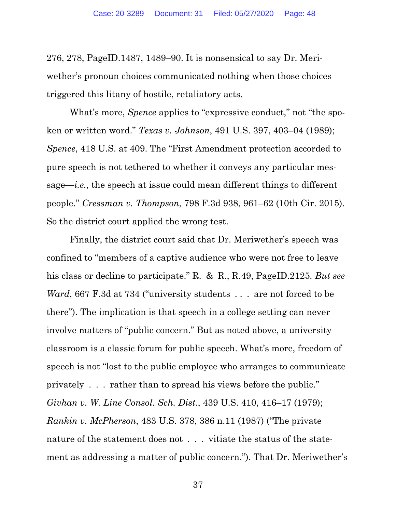276, 278, PageID.1487, 1489–90. It is nonsensical to say Dr. Meriwether's pronoun choices communicated nothing when those choices triggered this litany of hostile, retaliatory acts.

What's more, *Spence* applies to "expressive conduct," not "the spoken or written word." *Texas v. Johnson*, 491 U.S. 397, 403–04 (1989); *Spence*, 418 U.S. at 409. The "First Amendment protection accorded to pure speech is not tethered to whether it conveys any particular message—*i.e.*, the speech at issue could mean different things to different people." *Cressman v. Thompson*, 798 F.3d 938, 961–62 (10th Cir. 2015). So the district court applied the wrong test.

Finally, the district court said that Dr. Meriwether's speech was confined to "members of a captive audience who were not free to leave his class or decline to participate." R. & R., R.49, PageID.2125*. But see Ward*, 667 F.3d at 734 ("university students . . . are not forced to be there"). The implication is that speech in a college setting can never involve matters of "public concern." But as noted above, a university classroom is a classic forum for public speech. What's more, freedom of speech is not "lost to the public employee who arranges to communicate privately . . . rather than to spread his views before the public." *Givhan v. W. Line Consol. Sch. Dist.*, 439 U.S. 410, 416–17 (1979); *Rankin v. McPherson*, 483 U.S. 378, 386 n.11 (1987) ("The private nature of the statement does not . . . vitiate the status of the statement as addressing a matter of public concern."). That Dr. Meriwether's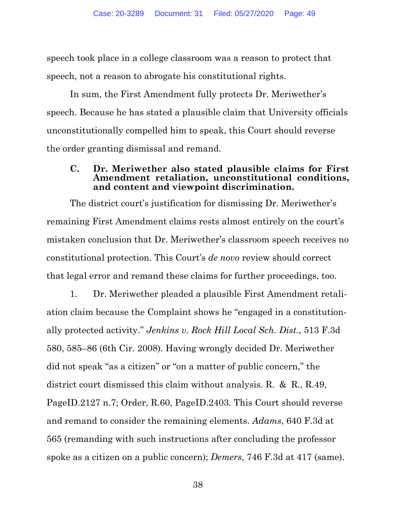speech took place in a college classroom was a reason to protect that speech, not a reason to abrogate his constitutional rights.

In sum, the First Amendment fully protects Dr. Meriwether's speech. Because he has stated a plausible claim that University officials unconstitutionally compelled him to speak, this Court should reverse the order granting dismissal and remand.

#### **C. Dr. Meriwether also stated plausible claims for First Amendment retaliation, unconstitutional conditions, and content and viewpoint discrimination.**

The district court's justification for dismissing Dr. Meriwether's remaining First Amendment claims rests almost entirely on the court's mistaken conclusion that Dr. Meriwether's classroom speech receives no constitutional protection. This Court's *de novo* review should correct that legal error and remand these claims for further proceedings, too.

1. Dr. Meriwether pleaded a plausible First Amendment retaliation claim because the Complaint shows he "engaged in a constitutionally protected activity." *Jenkins v. Rock Hill Local Sch. Dist.*, 513 F.3d 580, 585–86 (6th Cir. 2008). Having wrongly decided Dr. Meriwether did not speak "as a citizen" or "on a matter of public concern," the district court dismissed this claim without analysis. R. & R., R.49, PageID.2127 n.7; Order, R.60, PageID.2403. This Court should reverse and remand to consider the remaining elements. *Adams*, 640 F.3d at 565 (remanding with such instructions after concluding the professor spoke as a citizen on a public concern); *Demers*, 746 F.3d at 417 (same).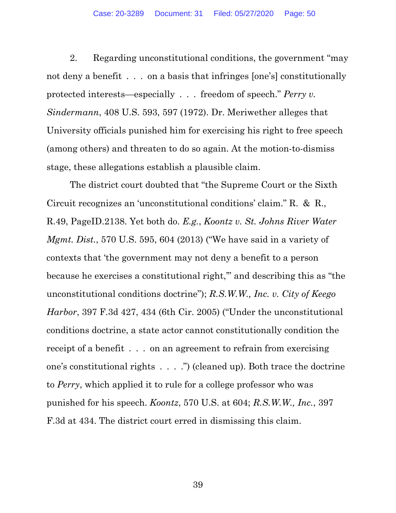2. Regarding unconstitutional conditions, the government "may not deny a benefit . . . on a basis that infringes [one's] constitutionally protected interests—especially . . . freedom of speech." *Perry v. Sindermann*, 408 U.S. 593, 597 (1972). Dr. Meriwether alleges that University officials punished him for exercising his right to free speech (among others) and threaten to do so again. At the motion-to-dismiss stage, these allegations establish a plausible claim.

The district court doubted that "the Supreme Court or the Sixth Circuit recognizes an 'unconstitutional conditions' claim." R. & R., R.49, PageID.2138. Yet both do. *E.g.*, *Koontz v. St. Johns River Water Mgmt. Dist.*, 570 U.S. 595, 604 (2013) ("We have said in a variety of contexts that 'the government may not deny a benefit to a person because he exercises a constitutional right,'" and describing this as "the unconstitutional conditions doctrine"); *R.S.W.W., Inc. v. City of Keego Harbor*, 397 F.3d 427, 434 (6th Cir. 2005) ("Under the unconstitutional conditions doctrine, a state actor cannot constitutionally condition the receipt of a benefit . . . on an agreement to refrain from exercising one's constitutional rights . . . .") (cleaned up). Both trace the doctrine to *Perry*, which applied it to rule for a college professor who was punished for his speech. *Koontz*, 570 U.S. at 604; *R.S.W.W., Inc.*, 397 F.3d at 434. The district court erred in dismissing this claim.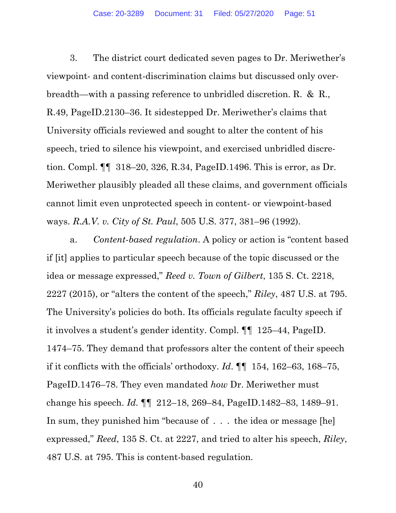3. The district court dedicated seven pages to Dr. Meriwether's viewpoint- and content-discrimination claims but discussed only overbreadth—with a passing reference to unbridled discretion. R. & R., R.49, PageID.2130–36. It sidestepped Dr. Meriwether's claims that University officials reviewed and sought to alter the content of his speech, tried to silence his viewpoint, and exercised unbridled discretion. Compl. ¶¶ 318–20, 326, R.34, PageID.1496. This is error, as Dr. Meriwether plausibly pleaded all these claims, and government officials cannot limit even unprotected speech in content- or viewpoint-based ways. *R.A.V. v. City of St. Paul*, 505 U.S. 377, 381–96 (1992).

a. *Content-based regulation*. A policy or action is "content based if [it] applies to particular speech because of the topic discussed or the idea or message expressed," *Reed v. Town of Gilbert*, 135 S. Ct. 2218, 2227 (2015), or "alters the content of the speech," *Riley*, 487 U.S. at 795. The University's policies do both. Its officials regulate faculty speech if it involves a student's gender identity. Compl. ¶¶ 125–44, PageID. 1474–75. They demand that professors alter the content of their speech if it conflicts with the officials' orthodoxy. *Id*. ¶¶ 154, 162–63, 168–75, PageID.1476–78. They even mandated *how* Dr. Meriwether must change his speech. *Id.* ¶¶ 212–18, 269–84, PageID.1482–83, 1489–91. In sum, they punished him "because of . . . the idea or message [he] expressed," *Reed*, 135 S. Ct. at 2227, and tried to alter his speech, *Riley*, 487 U.S. at 795. This is content-based regulation.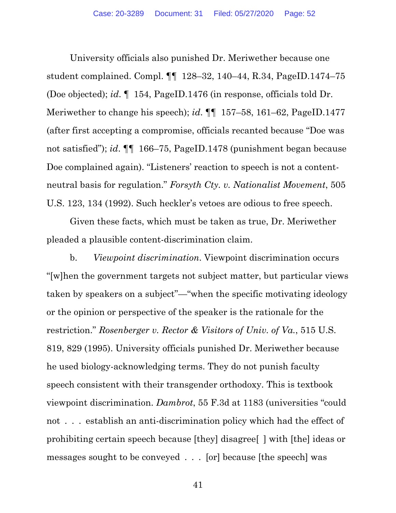University officials also punished Dr. Meriwether because one student complained. Compl. ¶¶ 128–32, 140–44, R.34, PageID.1474–75 (Doe objected); *id*. ¶ 154, PageID.1476 (in response, officials told Dr. Meriwether to change his speech); *id*. ¶¶ 157–58, 161–62, PageID.1477 (after first accepting a compromise, officials recanted because "Doe was not satisfied"); *id*. ¶¶ 166–75, PageID.1478 (punishment began because Doe complained again). "Listeners' reaction to speech is not a contentneutral basis for regulation." *Forsyth Cty. v. Nationalist Movement*, 505 U.S. 123, 134 (1992). Such heckler's vetoes are odious to free speech.

Given these facts, which must be taken as true, Dr. Meriwether pleaded a plausible content-discrimination claim.

b. *Viewpoint discrimination*. Viewpoint discrimination occurs "[w]hen the government targets not subject matter, but particular views taken by speakers on a subject"—"when the specific motivating ideology or the opinion or perspective of the speaker is the rationale for the restriction." *Rosenberger v. Rector & Visitors of Univ. of Va.*, 515 U.S. 819, 829 (1995). University officials punished Dr. Meriwether because he used biology-acknowledging terms. They do not punish faculty speech consistent with their transgender orthodoxy. This is textbook viewpoint discrimination. *Dambrot*, 55 F.3d at 1183 (universities "could not . . . establish an anti-discrimination policy which had the effect of prohibiting certain speech because [they] disagree[ ] with [the] ideas or messages sought to be conveyed . . . [or] because [the speech] was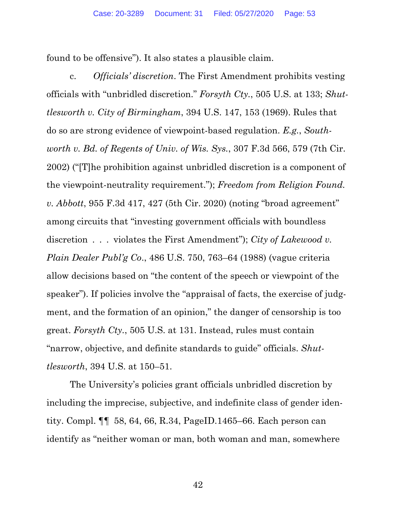found to be offensive"). It also states a plausible claim.

c. *Officials' discretion*. The First Amendment prohibits vesting officials with "unbridled discretion." *Forsyth Cty.*, 505 U.S. at 133; *Shuttlesworth v. City of Birmingham*, 394 U.S. 147, 153 (1969). Rules that do so are strong evidence of viewpoint-based regulation. *E.g.*, *Southworth v. Bd. of Regents of Univ. of Wis. Sys.*, 307 F.3d 566, 579 (7th Cir. 2002) ("[T]he prohibition against unbridled discretion is a component of the viewpoint-neutrality requirement."); *Freedom from Religion Found. v. Abbott*, 955 F.3d 417, 427 (5th Cir. 2020) (noting "broad agreement" among circuits that "investing government officials with boundless discretion . . . violates the First Amendment"); *City of Lakewood v. Plain Dealer Publ'g Co*., 486 U.S. 750, 763–64 (1988) (vague criteria allow decisions based on "the content of the speech or viewpoint of the speaker"). If policies involve the "appraisal of facts, the exercise of judgment, and the formation of an opinion," the danger of censorship is too great. *Forsyth Cty.*, 505 U.S. at 131. Instead, rules must contain "narrow, objective, and definite standards to guide" officials. *Shuttlesworth*, 394 U.S. at 150–51.

The University's policies grant officials unbridled discretion by including the imprecise, subjective, and indefinite class of gender identity. Compl. ¶¶ 58, 64, 66, R.34, PageID.1465–66. Each person can identify as "neither woman or man, both woman and man, somewhere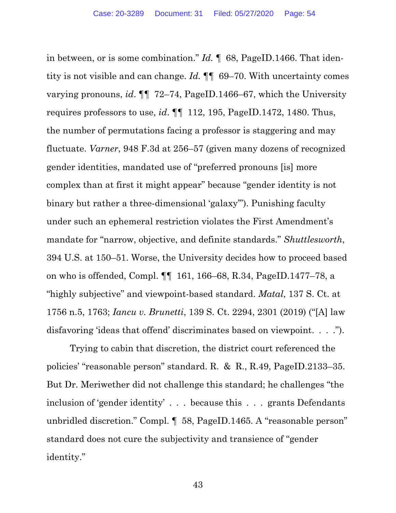in between, or is some combination." *Id.* ¶ 68, PageID.1466. That identity is not visible and can change. *Id.* ¶¶ 69–70. With uncertainty comes varying pronouns, *id*. ¶¶ 72–74, PageID.1466–67, which the University requires professors to use, *id*. ¶¶ 112, 195, PageID.1472, 1480. Thus, the number of permutations facing a professor is staggering and may fluctuate. *Varner*, 948 F.3d at 256–57 (given many dozens of recognized gender identities, mandated use of "preferred pronouns [is] more complex than at first it might appear" because "gender identity is not binary but rather a three-dimensional 'galaxy'"). Punishing faculty under such an ephemeral restriction violates the First Amendment's mandate for "narrow, objective, and definite standards." *Shuttlesworth*, 394 U.S. at 150–51. Worse, the University decides how to proceed based on who is offended, Compl. ¶¶ 161, 166–68, R.34, PageID.1477–78, a "highly subjective" and viewpoint-based standard. *Matal*, 137 S. Ct. at 1756 n.5, 1763; *Iancu v. Brunetti*, 139 S. Ct. 2294, 2301 (2019) ("[A] law disfavoring 'ideas that offend' discriminates based on viewpoint. . . .").

Trying to cabin that discretion, the district court referenced the policies' "reasonable person" standard. R. & R., R.49, PageID.2133–35. But Dr. Meriwether did not challenge this standard; he challenges "the inclusion of 'gender identity' . . . because this . . . grants Defendants unbridled discretion." Compl. ¶ 58, PageID.1465. A "reasonable person" standard does not cure the subjectivity and transience of "gender identity."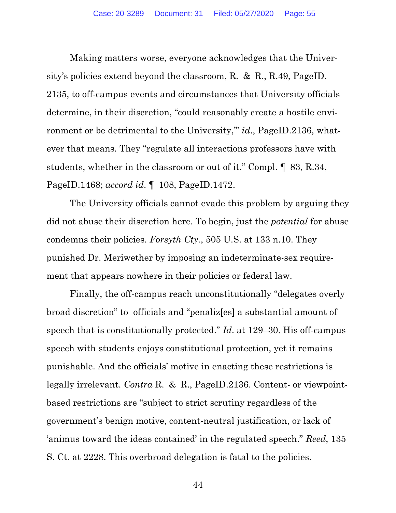Making matters worse, everyone acknowledges that the University's policies extend beyond the classroom, R. & R., R.49, PageID. 2135, to off-campus events and circumstances that University officials determine, in their discretion, "could reasonably create a hostile environment or be detrimental to the University," *id.*, PageID.2136, whatever that means. They "regulate all interactions professors have with students, whether in the classroom or out of it." Compl. ¶ 83, R.34, PageID.1468; *accord id*. ¶ 108, PageID.1472.

The University officials cannot evade this problem by arguing they did not abuse their discretion here. To begin, just the *potential* for abuse condemns their policies. *Forsyth Cty.*, 505 U.S. at 133 n.10. They punished Dr. Meriwether by imposing an indeterminate-sex requirement that appears nowhere in their policies or federal law.

Finally, the off-campus reach unconstitutionally "delegates overly broad discretion" to officials and "penaliz[es] a substantial amount of speech that is constitutionally protected." *Id*. at 129–30. His off-campus speech with students enjoys constitutional protection, yet it remains punishable. And the officials' motive in enacting these restrictions is legally irrelevant. *Contra* R. & R., PageID.2136. Content- or viewpointbased restrictions are "subject to strict scrutiny regardless of the government's benign motive, content-neutral justification, or lack of 'animus toward the ideas contained' in the regulated speech." *Reed*, 135 S. Ct. at 2228. This overbroad delegation is fatal to the policies.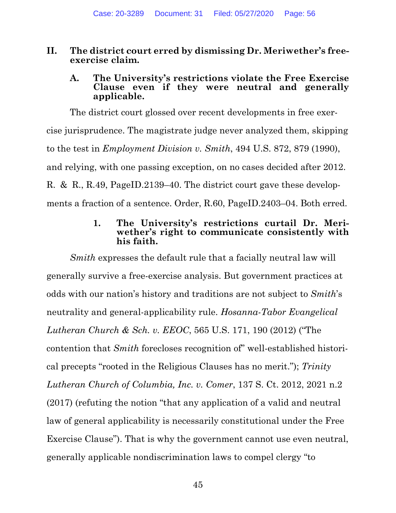## **II. The district court erred by dismissing Dr. Meriwether's freeexercise claim.**

#### **A. The University's restrictions violate the Free Exercise Clause even if they were neutral and generally applicable.**

The district court glossed over recent developments in free exercise jurisprudence. The magistrate judge never analyzed them, skipping to the test in *Employment Division v. Smith*, 494 U.S. 872, 879 (1990), and relying, with one passing exception, on no cases decided after 2012. R. & R., R.49, PageID.2139–40. The district court gave these developments a fraction of a sentence. Order, R.60, PageID.2403–04. Both erred.

## **1. The University's restrictions curtail Dr. Meriwether's right to communicate consistently with his faith.**

*Smith* expresses the default rule that a facially neutral law will generally survive a free-exercise analysis. But government practices at odds with our nation's history and traditions are not subject to *Smith*'s neutrality and general-applicability rule. *Hosanna-Tabor Evangelical Lutheran Church & Sch. v. EEOC*, 565 U.S. 171, 190 (2012) ("The contention that *Smith* forecloses recognition of" well-established historical precepts "rooted in the Religious Clauses has no merit."); *Trinity Lutheran Church of Columbia, Inc. v. Comer*, 137 S. Ct. 2012, 2021 n.2 (2017) (refuting the notion "that any application of a valid and neutral law of general applicability is necessarily constitutional under the Free Exercise Clause"). That is why the government cannot use even neutral, generally applicable nondiscrimination laws to compel clergy "to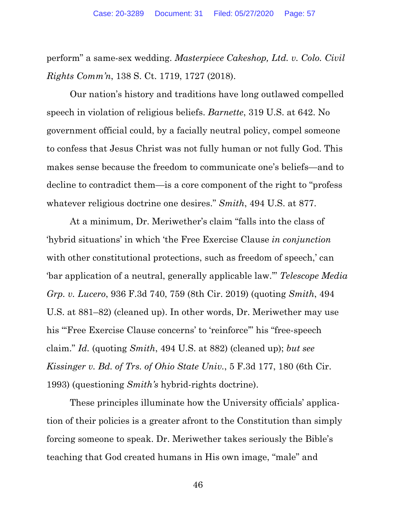perform" a same-sex wedding. *Masterpiece Cakeshop, Ltd. v. Colo. Civil Rights Comm'n*, 138 S. Ct. 1719, 1727 (2018).

Our nation's history and traditions have long outlawed compelled speech in violation of religious beliefs. *Barnette*, 319 U.S. at 642. No government official could, by a facially neutral policy, compel someone to confess that Jesus Christ was not fully human or not fully God. This makes sense because the freedom to communicate one's beliefs—and to decline to contradict them—is a core component of the right to "profess whatever religious doctrine one desires." *Smith*, 494 U.S. at 877.

At a minimum, Dr. Meriwether's claim "falls into the class of 'hybrid situations' in which 'the Free Exercise Clause *in conjunction* with other constitutional protections, such as freedom of speech,' can 'bar application of a neutral, generally applicable law.'" *Telescope Media Grp. v. Lucero*, 936 F.3d 740, 759 (8th Cir. 2019) (quoting *Smith*, 494 U.S. at 881–82) (cleaned up). In other words, Dr. Meriwether may use his "'Free Exercise Clause concerns' to 'reinforce'" his "free-speech claim." *Id.* (quoting *Smith*, 494 U.S. at 882) (cleaned up); *but see Kissinger v. Bd. of Trs. of Ohio State Univ.*, 5 F.3d 177, 180 (6th Cir. 1993) (questioning *Smith's* hybrid-rights doctrine).

These principles illuminate how the University officials' application of their policies is a greater afront to the Constitution than simply forcing someone to speak. Dr. Meriwether takes seriously the Bible's teaching that God created humans in His own image, "male" and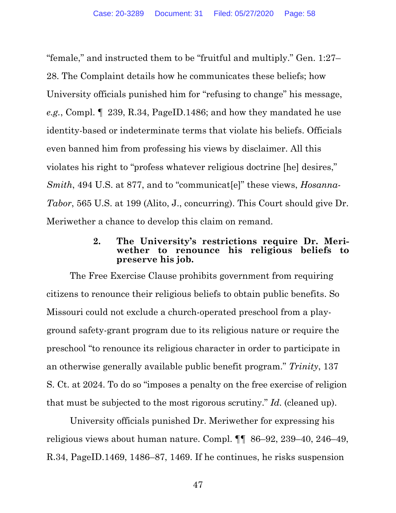"female," and instructed them to be "fruitful and multiply." Gen. 1:27– 28. The Complaint details how he communicates these beliefs; how University officials punished him for "refusing to change" his message, *e.g.*, Compl. ¶ 239, R.34, PageID.1486; and how they mandated he use identity-based or indeterminate terms that violate his beliefs. Officials even banned him from professing his views by disclaimer. All this violates his right to "profess whatever religious doctrine [he] desires," *Smith*, 494 U.S. at 877, and to "communicat[e]" these views, *Hosanna-Tabor*, 565 U.S. at 199 (Alito, J., concurring). This Court should give Dr. Meriwether a chance to develop this claim on remand.

## **2. The University's restrictions require Dr. Meriwether to renounce his religious beliefs to preserve his job.**

The Free Exercise Clause prohibits government from requiring citizens to renounce their religious beliefs to obtain public benefits. So Missouri could not exclude a church-operated preschool from a playground safety-grant program due to its religious nature or require the preschool "to renounce its religious character in order to participate in an otherwise generally available public benefit program." *Trinity*, 137 S. Ct. at 2024. To do so "imposes a penalty on the free exercise of religion that must be subjected to the most rigorous scrutiny." *Id*. (cleaned up).

University officials punished Dr. Meriwether for expressing his religious views about human nature. Compl. ¶¶ 86–92, 239–40, 246–49, R.34, PageID.1469, 1486–87, 1469. If he continues, he risks suspension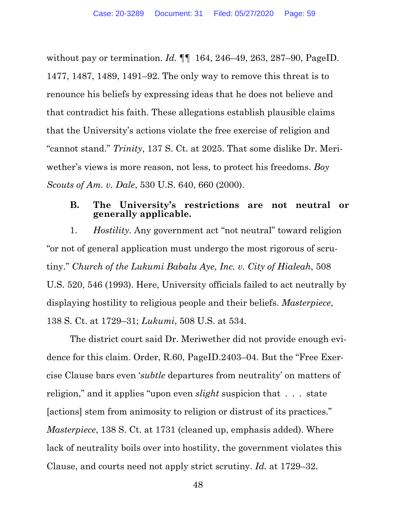without pay or termination. *Id.* ¶¶ 164, 246–49, 263, 287–90, PageID. 1477, 1487, 1489, 1491–92. The only way to remove this threat is to renounce his beliefs by expressing ideas that he does not believe and that contradict his faith. These allegations establish plausible claims that the University's actions violate the free exercise of religion and "cannot stand." *Trinity*, 137 S. Ct. at 2025. That some dislike Dr. Meriwether's views is more reason, not less, to protect his freedoms. *Boy Scouts of Am. v. Dale*, 530 U.S. 640, 660 (2000).

### **B. The University's restrictions are not neutral or generally applicable.**

1. *Hostility.* Any government act "not neutral" toward religion "or not of general application must undergo the most rigorous of scrutiny." *Church of the Lukumi Babalu Aye, Inc. v. City of Hialeah*, 508 U.S. 520, 546 (1993). Here, University officials failed to act neutrally by displaying hostility to religious people and their beliefs. *Masterpiece*, 138 S. Ct. at 1729–31; *Lukumi*, 508 U.S. at 534.

The district court said Dr. Meriwether did not provide enough evidence for this claim. Order, R.60, PageID.2403–04. But the "Free Exercise Clause bars even '*subtle* departures from neutrality' on matters of religion," and it applies "upon even *slight* suspicion that . . . state [actions] stem from animosity to religion or distrust of its practices." *Masterpiece*, 138 S. Ct. at 1731 (cleaned up, emphasis added). Where lack of neutrality boils over into hostility, the government violates this Clause, and courts need not apply strict scrutiny. *Id.* at 1729–32.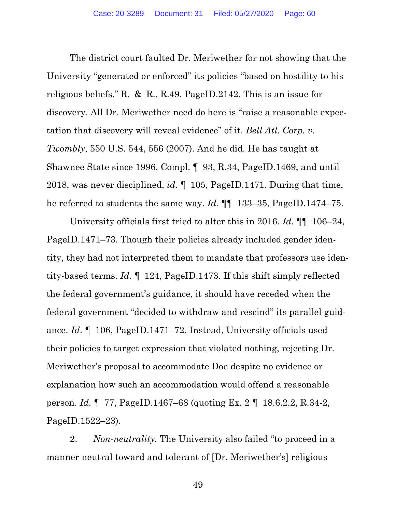The district court faulted Dr. Meriwether for not showing that the University "generated or enforced" its policies "based on hostility to his religious beliefs." R. & R., R.49. PageID.2142. This is an issue for discovery. All Dr. Meriwether need do here is "raise a reasonable expectation that discovery will reveal evidence" of it. *Bell Atl. Corp. v. Twombly*, 550 U.S. 544, 556 (2007). And he did. He has taught at Shawnee State since 1996, Compl. ¶ 93, R.34, PageID.1469, and until 2018, was never disciplined, *id*. ¶ 105, PageID.1471. During that time, he referred to students the same way. *Id.* ¶¶ 133–35, PageID.1474–75.

University officials first tried to alter this in 2016. *Id.* ¶¶ 106–24, PageID.1471–73. Though their policies already included gender identity, they had not interpreted them to mandate that professors use identity-based terms. *Id*. ¶ 124, PageID.1473. If this shift simply reflected the federal government's guidance, it should have receded when the federal government "decided to withdraw and rescind" its parallel guidance. *Id*. *¶* 106, PageID.1471–72. Instead, University officials used their policies to target expression that violated nothing, rejecting Dr. Meriwether's proposal to accommodate Doe despite no evidence or explanation how such an accommodation would offend a reasonable person. *Id*. *¶* 77, PageID.1467–68 (quoting Ex. 2 *¶* 18.6.2.2, R.34-2, PageID.1522–23).

2. *Non-neutrality.* The University also failed "to proceed in a manner neutral toward and tolerant of [Dr. Meriwether's] religious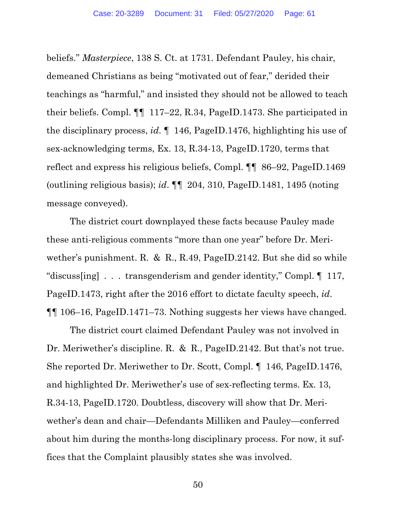beliefs." *Masterpiece*, 138 S. Ct. at 1731. Defendant Pauley, his chair, demeaned Christians as being "motivated out of fear," derided their teachings as "harmful," and insisted they should not be allowed to teach their beliefs. Compl. ¶¶ 117–22, R.34, PageID.1473. She participated in the disciplinary process, *id*. ¶ 146, PageID.1476, highlighting his use of sex-acknowledging terms, Ex. 13, R.34-13, PageID.1720, terms that reflect and express his religious beliefs, Compl. ¶¶ 86–92, PageID.1469 (outlining religious basis); *id*. ¶¶ 204, 310, PageID.1481, 1495 (noting message conveyed).

The district court downplayed these facts because Pauley made these anti-religious comments "more than one year" before Dr. Meriwether's punishment. R. & R., R.49, PageID.2142. But she did so while "discuss[ing] . . . transgenderism and gender identity," Compl. ¶ 117, PageID.1473, right after the 2016 effort to dictate faculty speech, *id*. ¶¶ 106–16, PageID.1471–73. Nothing suggests her views have changed.

The district court claimed Defendant Pauley was not involved in Dr. Meriwether's discipline. R. & R., PageID.2142. But that's not true. She reported Dr. Meriwether to Dr. Scott, Compl. ¶ 146, PageID.1476, and highlighted Dr. Meriwether's use of sex-reflecting terms. Ex. 13, R.34-13, PageID.1720. Doubtless, discovery will show that Dr. Meriwether's dean and chair—Defendants Milliken and Pauley—conferred about him during the months-long disciplinary process. For now, it suffices that the Complaint plausibly states she was involved.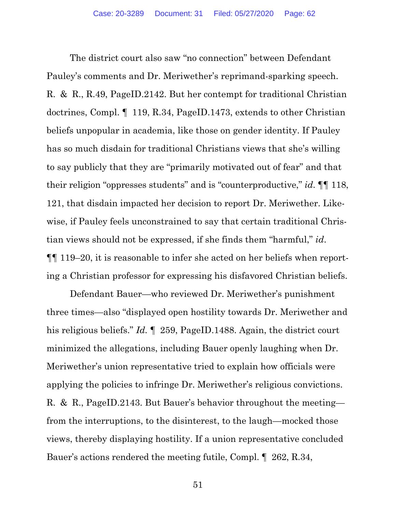The district court also saw "no connection" between Defendant Pauley's comments and Dr. Meriwether's reprimand-sparking speech. R. & R., R.49, PageID.2142. But her contempt for traditional Christian doctrines, Compl. ¶ 119, R.34, PageID.1473, extends to other Christian beliefs unpopular in academia, like those on gender identity. If Pauley has so much disdain for traditional Christians views that she's willing to say publicly that they are "primarily motivated out of fear" and that their religion "oppresses students" and is "counterproductive," *id*. ¶¶ 118, 121, that disdain impacted her decision to report Dr. Meriwether. Likewise, if Pauley feels unconstrained to say that certain traditional Christian views should not be expressed, if she finds them "harmful," *id*. ¶¶ 119–20, it is reasonable to infer she acted on her beliefs when reporting a Christian professor for expressing his disfavored Christian beliefs.

Defendant Bauer—who reviewed Dr. Meriwether's punishment three times—also "displayed open hostility towards Dr. Meriwether and his religious beliefs." *Id.*  $\llbracket 259, \text{PageID.1488}$ . Again, the district court minimized the allegations, including Bauer openly laughing when Dr. Meriwether's union representative tried to explain how officials were applying the policies to infringe Dr. Meriwether's religious convictions. R. & R., PageID.2143. But Bauer's behavior throughout the meeting from the interruptions, to the disinterest, to the laugh—mocked those views, thereby displaying hostility. If a union representative concluded Bauer's actions rendered the meeting futile, Compl. ¶ 262, R.34,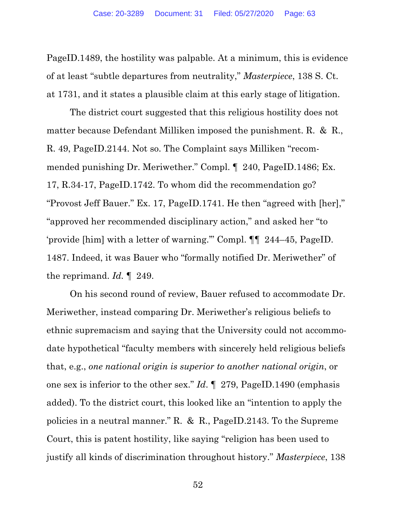PageID.1489, the hostility was palpable. At a minimum, this is evidence of at least "subtle departures from neutrality," *Masterpiece*, 138 S. Ct. at 1731, and it states a plausible claim at this early stage of litigation.

The district court suggested that this religious hostility does not matter because Defendant Milliken imposed the punishment. R. & R., R. 49, PageID.2144. Not so. The Complaint says Milliken "recommended punishing Dr. Meriwether." Compl. ¶ 240, PageID.1486; Ex. 17, R.34-17, PageID.1742. To whom did the recommendation go? "Provost Jeff Bauer." Ex. 17, PageID.1741. He then "agreed with [her]," "approved her recommended disciplinary action," and asked her "to 'provide [him] with a letter of warning.'" Compl. ¶¶ 244–45, PageID. 1487. Indeed, it was Bauer who "formally notified Dr. Meriwether" of the reprimand. *Id.* ¶ 249.

On his second round of review, Bauer refused to accommodate Dr. Meriwether, instead comparing Dr. Meriwether's religious beliefs to ethnic supremacism and saying that the University could not accommodate hypothetical "faculty members with sincerely held religious beliefs that, e.g., *one national origin is superior to another national origin*, or one sex is inferior to the other sex." *Id*. ¶ 279, PageID.1490 (emphasis added). To the district court, this looked like an "intention to apply the policies in a neutral manner." R. & R., PageID.2143. To the Supreme Court, this is patent hostility, like saying "religion has been used to justify all kinds of discrimination throughout history." *Masterpiece*, 138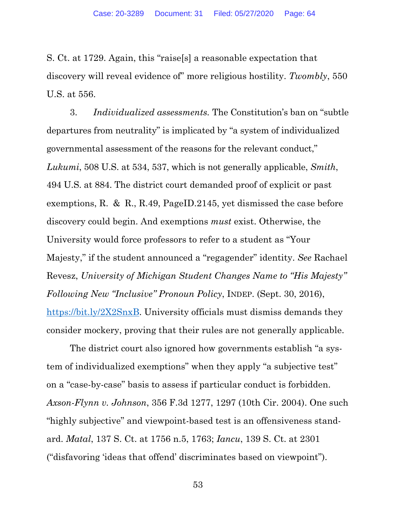S. Ct. at 1729. Again, this "raise[s] a reasonable expectation that discovery will reveal evidence of" more religious hostility. *Twombly*, 550 U.S. at 556.

3. *Individualized assessments.* The Constitution's ban on "subtle departures from neutrality" is implicated by "a system of individualized governmental assessment of the reasons for the relevant conduct," *Lukumi*, 508 U.S. at 534, 537, which is not generally applicable, *Smith*, 494 U.S. at 884. The district court demanded proof of explicit or past exemptions, R. & R., R.49, PageID.2145, yet dismissed the case before discovery could begin. And exemptions *must* exist. Otherwise, the University would force professors to refer to a student as "Your Majesty," if the student announced a "regagender" identity. *See* Rachael Revesz, *University of Michigan Student Changes Name to "His Majesty" Following New "Inclusive" Pronoun Policy*, INDEP. (Sept. 30, 2016), https://bit.ly/2X2SnxB. University officials must dismiss demands they consider mockery, proving that their rules are not generally applicable.

The district court also ignored how governments establish "a system of individualized exemptions" when they apply "a subjective test" on a "case-by-case" basis to assess if particular conduct is forbidden. *Axson-Flynn v. Johnson*, 356 F.3d 1277, 1297 (10th Cir. 2004). One such "highly subjective" and viewpoint-based test is an offensiveness standard. *Matal*, 137 S. Ct. at 1756 n.5, 1763; *Iancu*, 139 S. Ct. at 2301 ("disfavoring 'ideas that offend' discriminates based on viewpoint").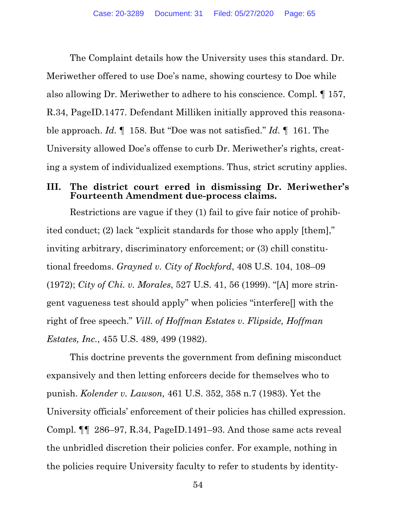The Complaint details how the University uses this standard. Dr. Meriwether offered to use Doe's name, showing courtesy to Doe while also allowing Dr. Meriwether to adhere to his conscience. Compl. ¶ 157, R.34, PageID.1477. Defendant Milliken initially approved this reasonable approach. *Id.* ¶ 158. But "Doe was not satisfied." *Id.* ¶ 161. The University allowed Doe's offense to curb Dr. Meriwether's rights, creating a system of individualized exemptions. Thus, strict scrutiny applies.

## **III. The district court erred in dismissing Dr. Meriwether's Fourteenth Amendment due-process claims.**

Restrictions are vague if they (1) fail to give fair notice of prohibited conduct; (2) lack "explicit standards for those who apply [them]," inviting arbitrary, discriminatory enforcement; or (3) chill constitutional freedoms. *Grayned v. City of Rockford*, 408 U.S. 104, 108–09 (1972); *City of Chi. v. Morales*, 527 U.S. 41, 56 (1999). "[A] more stringent vagueness test should apply" when policies "interfere[] with the right of free speech." *Vill. of Hoffman Estates v. Flipside, Hoffman Estates, Inc.*, 455 U.S. 489, 499 (1982).

This doctrine prevents the government from defining misconduct expansively and then letting enforcers decide for themselves who to punish. *Kolender v. Lawson,* 461 U.S. 352, 358 n.7 (1983). Yet the University officials' enforcement of their policies has chilled expression. Compl. ¶¶ 286–97, R.34, PageID.1491–93. And those same acts reveal the unbridled discretion their policies confer. For example, nothing in the policies require University faculty to refer to students by identity-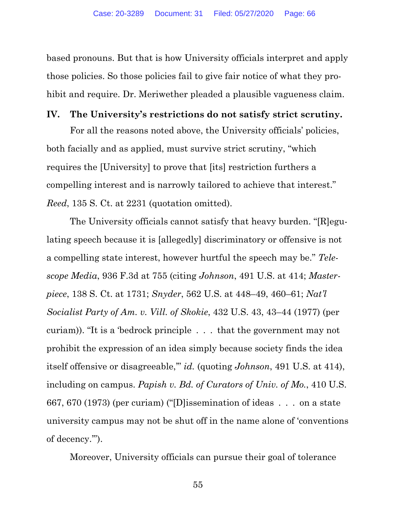based pronouns. But that is how University officials interpret and apply those policies. So those policies fail to give fair notice of what they prohibit and require. Dr. Meriwether pleaded a plausible vagueness claim.

#### **IV. The University's restrictions do not satisfy strict scrutiny.**

For all the reasons noted above, the University officials' policies, both facially and as applied, must survive strict scrutiny, "which requires the [University] to prove that [its] restriction furthers a compelling interest and is narrowly tailored to achieve that interest." *Reed*, 135 S. Ct. at 2231 (quotation omitted).

The University officials cannot satisfy that heavy burden. "[R]egulating speech because it is [allegedly] discriminatory or offensive is not a compelling state interest, however hurtful the speech may be." *Telescope Media*, 936 F.3d at 755 (citing *Johnson*, 491 U.S. at 414; *Masterpiece*, 138 S. Ct. at 1731; *Snyder*, 562 U.S. at 448–49, 460–61; *Nat'l Socialist Party of Am. v. Vill. of Skokie*, 432 U.S. 43, 43–44 (1977) (per curiam)). "It is a 'bedrock principle . . . that the government may not prohibit the expression of an idea simply because society finds the idea itself offensive or disagreeable,'" *id.* (quoting *Johnson*, 491 U.S. at 414), including on campus. *Papish v. Bd. of Curators of Univ. of Mo.*, 410 U.S. 667, 670 (1973) (per curiam) ("[D]issemination of ideas . . . on a state university campus may not be shut off in the name alone of 'conventions of decency.'").

Moreover, University officials can pursue their goal of tolerance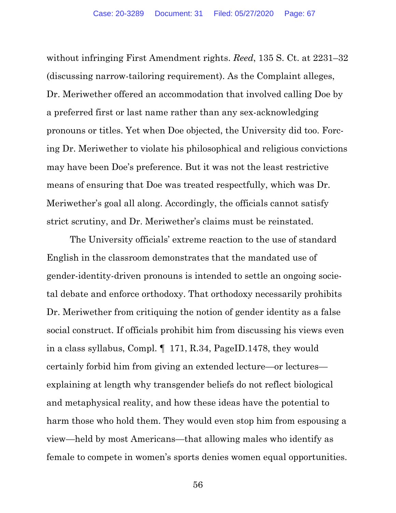without infringing First Amendment rights. *Reed*, 135 S. Ct. at 2231–32 (discussing narrow-tailoring requirement). As the Complaint alleges, Dr. Meriwether offered an accommodation that involved calling Doe by a preferred first or last name rather than any sex-acknowledging pronouns or titles. Yet when Doe objected, the University did too. Forcing Dr. Meriwether to violate his philosophical and religious convictions may have been Doe's preference. But it was not the least restrictive means of ensuring that Doe was treated respectfully, which was Dr. Meriwether's goal all along. Accordingly, the officials cannot satisfy strict scrutiny, and Dr. Meriwether's claims must be reinstated.

The University officials' extreme reaction to the use of standard English in the classroom demonstrates that the mandated use of gender-identity-driven pronouns is intended to settle an ongoing societal debate and enforce orthodoxy. That orthodoxy necessarily prohibits Dr. Meriwether from critiquing the notion of gender identity as a false social construct. If officials prohibit him from discussing his views even in a class syllabus, Compl. ¶ 171, R.34, PageID.1478, they would certainly forbid him from giving an extended lecture—or lectures explaining at length why transgender beliefs do not reflect biological and metaphysical reality, and how these ideas have the potential to harm those who hold them. They would even stop him from espousing a view—held by most Americans—that allowing males who identify as female to compete in women's sports denies women equal opportunities.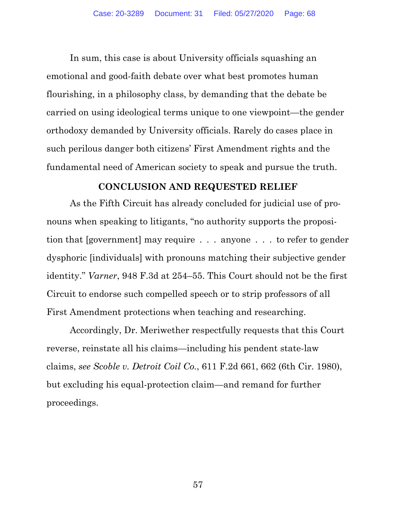In sum, this case is about University officials squashing an emotional and good-faith debate over what best promotes human flourishing, in a philosophy class, by demanding that the debate be carried on using ideological terms unique to one viewpoint—the gender orthodoxy demanded by University officials. Rarely do cases place in such perilous danger both citizens' First Amendment rights and the fundamental need of American society to speak and pursue the truth.

# **CONCLUSION AND REQUESTED RELIEF**

As the Fifth Circuit has already concluded for judicial use of pronouns when speaking to litigants, "no authority supports the proposition that [government] may require . . . anyone . . . to refer to gender dysphoric [individuals] with pronouns matching their subjective gender identity." *Varner*, 948 F.3d at 254–55. This Court should not be the first Circuit to endorse such compelled speech or to strip professors of all First Amendment protections when teaching and researching.

Accordingly, Dr. Meriwether respectfully requests that this Court reverse, reinstate all his claims—including his pendent state-law claims, *see Scoble v. Detroit Coil Co.*, 611 F.2d 661, 662 (6th Cir. 1980), but excluding his equal-protection claim—and remand for further proceedings.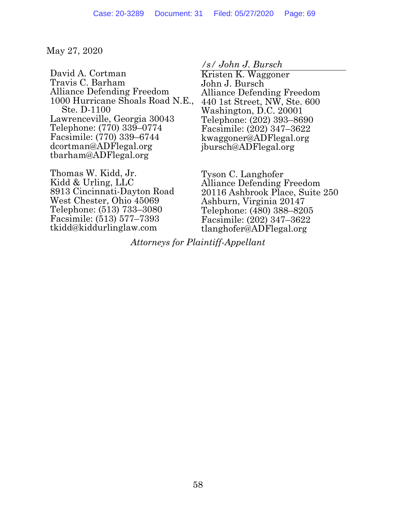May 27, 2020

David A. Cortman Travis C. Barham Alliance Defending Freedom 1000 Hurricane Shoals Road N.E., Ste. D-1100 Lawrenceville, Georgia 30043 Telephone: (770) 339–0774 Facsimile: (770) 339–6744 dcortman@ADFlegal.org tbarham@ADFlegal.org

Thomas W. Kidd, Jr. Kidd & Urling, LLC 8913 Cincinnati-Dayton Road West Chester, Ohio 45069 Telephone: (513) 733–3080 Facsimile: (513) 577–7393 tkidd@kiddurlinglaw.com

*/s/ John J. Bursch* 

Kristen K. Waggoner John J. Bursch Alliance Defending Freedom 440 1st Street, NW, Ste. 600 Washington, D.C. 20001 Telephone: (202) 393–8690 Facsimile: (202) 347–3622 kwaggoner@ADFlegal.org jbursch@ADFlegal.org

Tyson C. Langhofer Alliance Defending Freedom 20116 Ashbrook Place, Suite 250 Ashburn, Virginia 20147 Telephone: (480) 388–8205 Facsimile: (202) 347–3622 tlanghofer@ADFlegal.org

*Attorneys for Plaintiff-Appellant*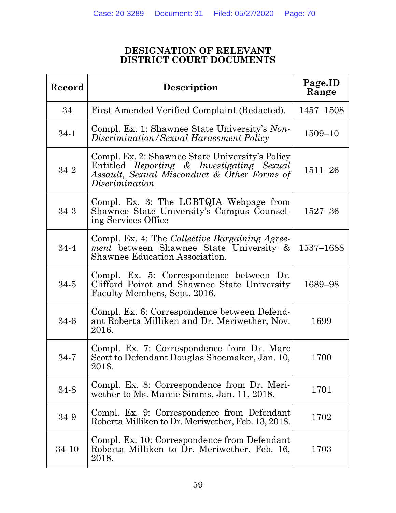### **DESIGNATION OF RELEVANT DISTRICT COURT DOCUMENTS**

| Record   | Description                                                                                                                                                   | Page.ID<br>Range |
|----------|---------------------------------------------------------------------------------------------------------------------------------------------------------------|------------------|
| 34       | First Amended Verified Complaint (Redacted).                                                                                                                  | $1457 - 1508$    |
| $34 - 1$ | Compl. Ex. 1: Shawnee State University's Non-<br>Discrimination/Sexual Harassment Policy                                                                      | $1509 - 10$      |
| 34-2     | Compl. Ex. 2: Shawnee State University's Policy<br>Entitled Reporting & Investigating Sexual<br>Assault, Sexual Misconduct & Other Forms of<br>Discrimination | $1511 - 26$      |
| $34-3$   | Compl. Ex. 3: The LGBTQIA Webpage from<br>Shawnee State University's Campus Counsel-<br>ing Services Office                                                   | $1527 - 36$      |
| 34-4     | Compl. Ex. 4: The Collective Bargaining Agree-<br>ment between Shawnee State University &<br><b>Shawnee Education Association.</b>                            | 1537-1688        |
| $34 - 5$ | Compl. Ex. 5: Correspondence between Dr.<br>Clifford Poirot and Shawnee State University<br>Faculty Members, Sept. 2016.                                      | 1689-98          |
| $34 - 6$ | Compl. Ex. 6: Correspondence between Defend-<br>ant Roberta Milliken and Dr. Meriwether, Nov.<br>2016.                                                        | 1699             |
| $34 - 7$ | Compl. Ex. 7: Correspondence from Dr. Marc<br>Scott to Defendant Douglas Shoemaker, Jan. 10,<br>2018.                                                         | 1700             |
| 34-8     | Compl. Ex. 8: Correspondence from Dr. Meri-<br>wether to Ms. Marcie Simms, Jan. 11, 2018.                                                                     | 1701             |
| 34-9     | Compl. Ex. 9: Correspondence from Defendant<br>Roberta Milliken to Dr. Meriwether, Feb. 13, 2018.                                                             | 1702             |
| 34-10    | Compl. Ex. 10: Correspondence from Defendant<br>Roberta Milliken to Dr. Meriwether, Feb. 16,<br>2018.                                                         | 1703             |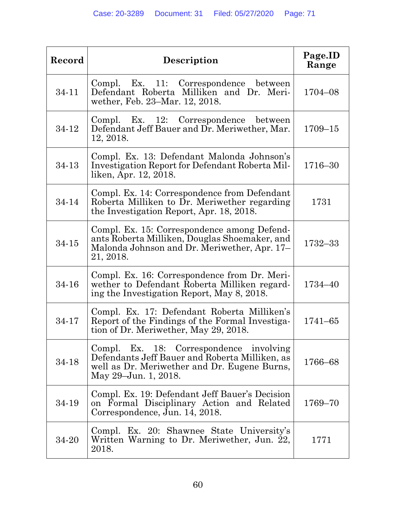| Record | Description                                                                                                                                                       | Page.ID<br>Range |
|--------|-------------------------------------------------------------------------------------------------------------------------------------------------------------------|------------------|
| 34-11  | Compl. Ex. 11: Correspondence between<br>Defendant Roberta Milliken and Dr. Meri-<br>wether, Feb. 23-Mar. 12, 2018.                                               | 1704-08          |
| 34-12  | Compl. Ex. 12: Correspondence between<br>Defendant Jeff Bauer and Dr. Meriwether, Mar.<br>12, 2018.                                                               | $1709 - 15$      |
| 34-13  | Compl. Ex. 13: Defendant Malonda Johnson's<br>Investigation Report for Defendant Roberta Mil-<br>liken, Apr. 12, 2018.                                            | 1716-30          |
| 34-14  | Compl. Ex. 14: Correspondence from Defendant<br>Roberta Milliken to Dr. Meriwether regarding<br>the Investigation Report, Apr. 18, 2018.                          | 1731             |
| 34-15  | Compl. Ex. 15: Correspondence among Defend-<br>ants Roberta Milliken, Douglas Shoemaker, and<br>Malonda Johnson and Dr. Meriwether, Apr. 17–<br>21, 2018.         | 1732-33          |
| 34-16  | Compl. Ex. 16: Correspondence from Dr. Meri-<br>wether to Defendant Roberta Milliken regard-<br>ing the Investigation Report, May 8, 2018.                        | 1734-40          |
| 34-17  | Compl. Ex. 17: Defendant Roberta Milliken's<br>Report of the Findings of the Formal Investiga-<br>tion of Dr. Meriwether, May 29, 2018.                           | $1741 - 65$      |
| 34-18  | Compl. Ex. 18: Correspondence involving<br>Defendants Jeff Bauer and Roberta Milliken, as<br>well as Dr. Meriwether and Dr. Eugene Burns,<br>May 29–Jun. 1, 2018. | 1766-68          |
| 34-19  | Compl. Ex. 19: Defendant Jeff Bauer's Decision<br>on Formal Disciplinary Action and Related<br>Correspondence, Jun. 14, 2018.                                     | 1769-70          |
| 34-20  | Compl. Ex. 20: Shawnee State University's<br>Written Warning to Dr. Meriwether, Jun. 22,<br>2018.                                                                 | 1771             |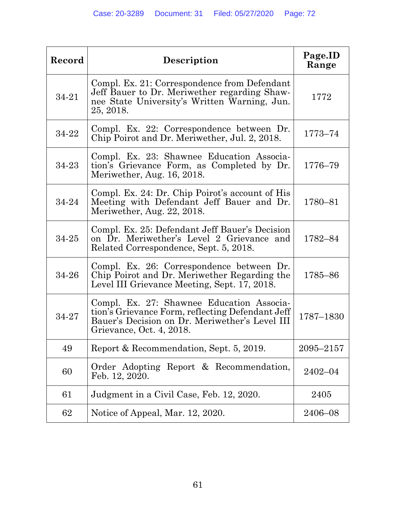| Record | Description                                                                                                                                                                 | Page.ID<br>Range |
|--------|-----------------------------------------------------------------------------------------------------------------------------------------------------------------------------|------------------|
| 34-21  | Compl. Ex. 21: Correspondence from Defendant<br>Jeff Bauer to Dr. Meriwether regarding Shaw-<br>nee State University's Written Warning, Jun.<br>25, 2018.                   | 1772             |
| 34-22  | Compl. Ex. 22: Correspondence between Dr.<br>Chip Poirot and Dr. Meriwether, Jul. 2, 2018.                                                                                  | 1773-74          |
| 34-23  | Compl. Ex. 23: Shawnee Education Associa-<br>tion's Grievance Form, as Completed by Dr.<br>Meriwether, Aug. 16, 2018.                                                       | 1776-79          |
| 34-24  | Compl. Ex. 24: Dr. Chip Poirot's account of His<br>Meeting with Defendant Jeff Bauer and Dr.<br>Meriwether, Aug. 22, 2018.                                                  | 1780-81          |
| 34-25  | Compl. Ex. 25: Defendant Jeff Bauer's Decision<br>on Dr. Meriwether's Level 2 Grievance and<br>Related Correspondence, Sept. 5, 2018.                                       | 1782-84          |
| 34-26  | Compl. Ex. 26: Correspondence between Dr.<br>Chip Poirot and Dr. Meriwether Regarding the<br>Level III Grievance Meeting, Sept. 17, 2018.                                   | 1785-86          |
| 34-27  | Compl. Ex. 27: Shawnee Education Associa-<br>tion's Grievance Form, reflecting Defendant Jeff<br>Bauer's Decision on Dr. Meriwether's Level III<br>Grievance, Oct. 4, 2018. | 1787-1830        |
| 49     | Report & Recommendation, Sept. 5, 2019.                                                                                                                                     | 2095-2157        |
| 60     | Order Adopting Report & Recommendation,<br>Feb. 12, 2020.                                                                                                                   | $2402 - 04$      |
| 61     | Judgment in a Civil Case, Feb. 12, 2020.                                                                                                                                    | 2405             |
| 62     | Notice of Appeal, Mar. 12, 2020.                                                                                                                                            | 2406-08          |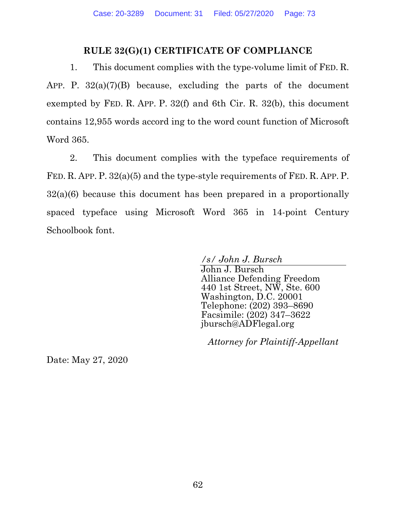## **RULE 32(G)(1) CERTIFICATE OF COMPLIANCE**

1. This document complies with the type-volume limit of FED. R. APP. P.  $32(a)(7)(B)$  because, excluding the parts of the document exempted by FED. R. APP. P. 32(f) and 6th Cir. R. 32(b), this document contains 12,955 words accord ing to the word count function of Microsoft Word 365.

2. This document complies with the typeface requirements of FED. R. APP. P. 32(a)(5) and the type-style requirements of FED. R. APP. P. 32(a)(6) because this document has been prepared in a proportionally spaced typeface using Microsoft Word 365 in 14-point Century Schoolbook font.

*/s/ John J. Bursch* 

John J. Bursch Alliance Defending Freedom 440 1st Street, NW, Ste. 600 Washington, D.C. 20001 Telephone: (202) 393–8690 Facsimile: (202) 347–3622 jbursch@ADFlegal.org

*Attorney for Plaintiff-Appellant* 

Date: May 27, 2020